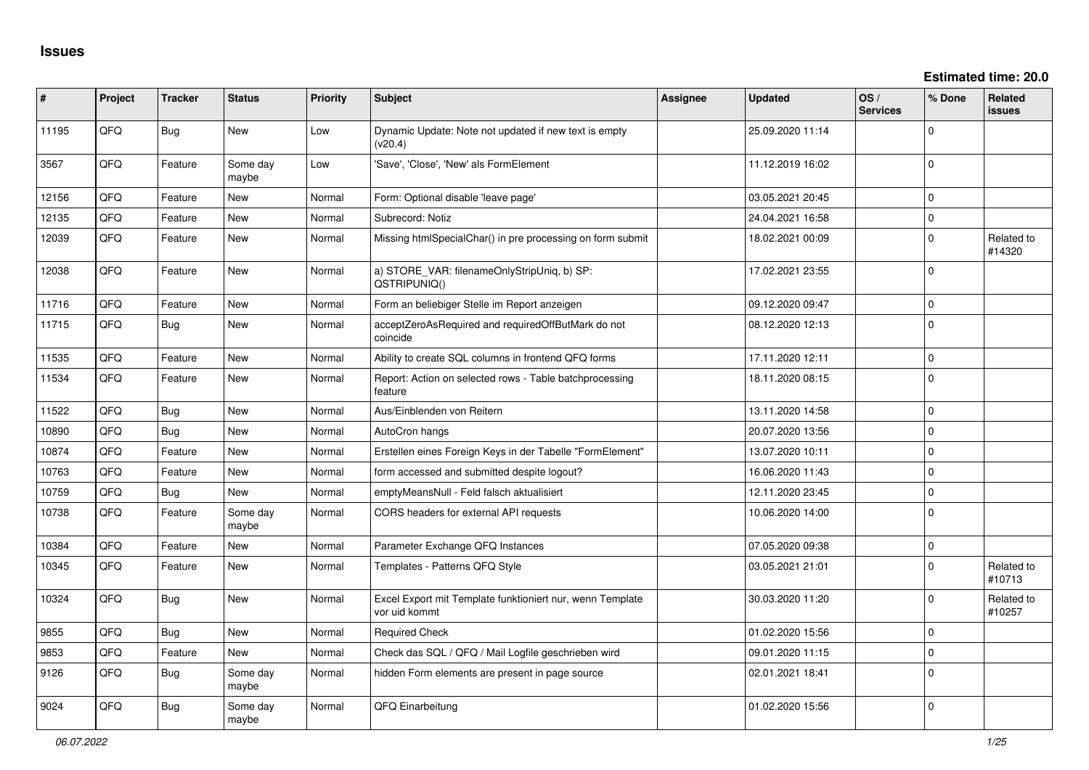| ∦     | Project    | <b>Tracker</b> | <b>Status</b>     | <b>Priority</b> | <b>Subject</b>                                                             | Assignee | <b>Updated</b>   | OS/<br><b>Services</b> | % Done       | <b>Related</b><br><b>issues</b> |
|-------|------------|----------------|-------------------|-----------------|----------------------------------------------------------------------------|----------|------------------|------------------------|--------------|---------------------------------|
| 11195 | QFQ        | <b>Bug</b>     | <b>New</b>        | Low             | Dynamic Update: Note not updated if new text is empty<br>(v20.4)           |          | 25.09.2020 11:14 |                        | $\mathbf 0$  |                                 |
| 3567  | QFQ        | Feature        | Some day<br>maybe | Low             | 'Save', 'Close', 'New' als FormElement                                     |          | 11.12.2019 16:02 |                        | $\Omega$     |                                 |
| 12156 | QFQ        | Feature        | <b>New</b>        | Normal          | Form: Optional disable 'leave page'                                        |          | 03.05.2021 20:45 |                        | $\mathbf{0}$ |                                 |
| 12135 | QFQ        | Feature        | <b>New</b>        | Normal          | Subrecord: Notiz                                                           |          | 24.04.2021 16:58 |                        | $\mathbf{0}$ |                                 |
| 12039 | QFQ        | Feature        | <b>New</b>        | Normal          | Missing htmlSpecialChar() in pre processing on form submit                 |          | 18.02.2021 00:09 |                        | $\mathbf 0$  | Related to<br>#14320            |
| 12038 | QFQ        | Feature        | New               | Normal          | a) STORE_VAR: filenameOnlyStripUniq, b) SP:<br>QSTRIPUNIQ()                |          | 17.02.2021 23:55 |                        | $\Omega$     |                                 |
| 11716 | QFQ        | Feature        | <b>New</b>        | Normal          | Form an beliebiger Stelle im Report anzeigen                               |          | 09.12.2020 09:47 |                        | $\mathbf 0$  |                                 |
| 11715 | QFQ        | Bug            | <b>New</b>        | Normal          | acceptZeroAsRequired and requiredOffButMark do not<br>coincide             |          | 08.12.2020 12:13 |                        | $\Omega$     |                                 |
| 11535 | QFQ        | Feature        | <b>New</b>        | Normal          | Ability to create SQL columns in frontend QFQ forms                        |          | 17.11.2020 12:11 |                        | $\mathbf 0$  |                                 |
| 11534 | QFQ        | Feature        | New               | Normal          | Report: Action on selected rows - Table batchprocessing<br>feature         |          | 18.11.2020 08:15 |                        | $\Omega$     |                                 |
| 11522 | <b>OFO</b> | <b>Bug</b>     | <b>New</b>        | Normal          | Aus/Einblenden von Reitern                                                 |          | 13.11.2020 14:58 |                        | $\mathbf 0$  |                                 |
| 10890 | QFQ        | Bug            | <b>New</b>        | Normal          | AutoCron hangs                                                             |          | 20.07.2020 13:56 |                        | $\mathbf 0$  |                                 |
| 10874 | QFQ        | Feature        | <b>New</b>        | Normal          | Erstellen eines Foreign Keys in der Tabelle "FormElement"                  |          | 13.07.2020 10:11 |                        | $\mathbf 0$  |                                 |
| 10763 | QFQ        | Feature        | <b>New</b>        | Normal          | form accessed and submitted despite logout?                                |          | 16.06.2020 11:43 |                        | $\mathbf 0$  |                                 |
| 10759 | QFQ        | Bug            | New               | Normal          | emptyMeansNull - Feld falsch aktualisiert                                  |          | 12.11.2020 23:45 |                        | $\mathbf 0$  |                                 |
| 10738 | QFQ        | Feature        | Some day<br>maybe | Normal          | CORS headers for external API requests                                     |          | 10.06.2020 14:00 |                        | $\mathbf{0}$ |                                 |
| 10384 | <b>OFO</b> | Feature        | <b>New</b>        | Normal          | Parameter Exchange QFQ Instances                                           |          | 07.05.2020 09:38 |                        | $\mathsf{O}$ |                                 |
| 10345 | QFQ        | Feature        | <b>New</b>        | Normal          | Templates - Patterns QFQ Style                                             |          | 03.05.2021 21:01 |                        | $\Omega$     | Related to<br>#10713            |
| 10324 | QFQ        | <b>Bug</b>     | <b>New</b>        | Normal          | Excel Export mit Template funktioniert nur, wenn Template<br>vor uid kommt |          | 30.03.2020 11:20 |                        | $\Omega$     | Related to<br>#10257            |
| 9855  | QFQ        | Bug            | <b>New</b>        | Normal          | <b>Required Check</b>                                                      |          | 01.02.2020 15:56 |                        | $\mathbf 0$  |                                 |
| 9853  | QFQ        | Feature        | <b>New</b>        | Normal          | Check das SQL / QFQ / Mail Logfile geschrieben wird                        |          | 09.01.2020 11:15 |                        | $\mathbf{0}$ |                                 |
| 9126  | QFQ        | <b>Bug</b>     | Some day<br>maybe | Normal          | hidden Form elements are present in page source                            |          | 02.01.2021 18:41 |                        | 0            |                                 |
| 9024  | QFQ        | <b>Bug</b>     | Some day<br>maybe | Normal          | QFQ Einarbeitung                                                           |          | 01.02.2020 15:56 |                        | $\Omega$     |                                 |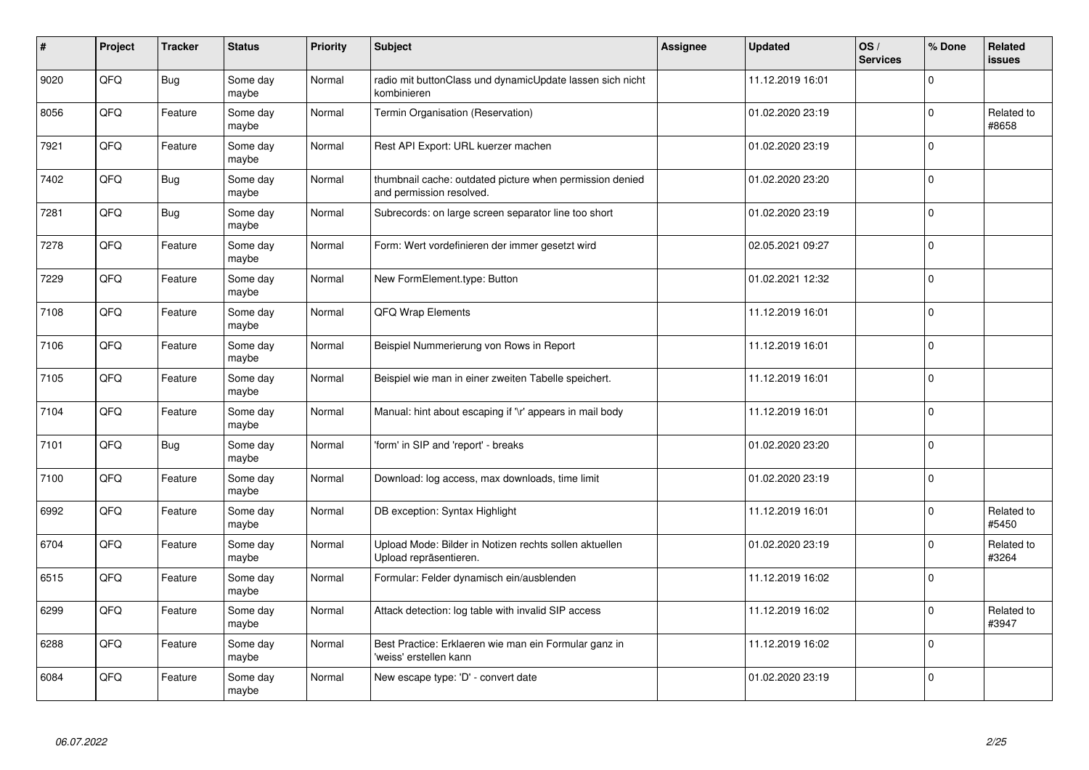| #    | Project | <b>Tracker</b> | <b>Status</b>     | <b>Priority</b> | <b>Subject</b>                                                                       | <b>Assignee</b> | <b>Updated</b>   | OS/<br><b>Services</b> | % Done      | Related<br><b>issues</b> |
|------|---------|----------------|-------------------|-----------------|--------------------------------------------------------------------------------------|-----------------|------------------|------------------------|-------------|--------------------------|
| 9020 | QFQ     | Bug            | Some day<br>maybe | Normal          | radio mit buttonClass und dynamicUpdate lassen sich nicht<br>kombinieren             |                 | 11.12.2019 16:01 |                        | $\Omega$    |                          |
| 8056 | QFQ     | Feature        | Some day<br>maybe | Normal          | Termin Organisation (Reservation)                                                    |                 | 01.02.2020 23:19 |                        | $\Omega$    | Related to<br>#8658      |
| 7921 | QFQ     | Feature        | Some day<br>maybe | Normal          | Rest API Export: URL kuerzer machen                                                  |                 | 01.02.2020 23:19 |                        | $\Omega$    |                          |
| 7402 | QFQ     | Bug            | Some day<br>maybe | Normal          | thumbnail cache: outdated picture when permission denied<br>and permission resolved. |                 | 01.02.2020 23:20 |                        | $\Omega$    |                          |
| 7281 | QFQ     | <b>Bug</b>     | Some day<br>maybe | Normal          | Subrecords: on large screen separator line too short                                 |                 | 01.02.2020 23:19 |                        | $\Omega$    |                          |
| 7278 | QFQ     | Feature        | Some day<br>maybe | Normal          | Form: Wert vordefinieren der immer gesetzt wird                                      |                 | 02.05.2021 09:27 |                        | $\Omega$    |                          |
| 7229 | QFQ     | Feature        | Some day<br>maybe | Normal          | New FormElement.type: Button                                                         |                 | 01.02.2021 12:32 |                        | $\mathbf 0$ |                          |
| 7108 | QFQ     | Feature        | Some day<br>maybe | Normal          | QFQ Wrap Elements                                                                    |                 | 11.12.2019 16:01 |                        | $\Omega$    |                          |
| 7106 | QFQ     | Feature        | Some day<br>maybe | Normal          | Beispiel Nummerierung von Rows in Report                                             |                 | 11.12.2019 16:01 |                        | $\Omega$    |                          |
| 7105 | QFQ     | Feature        | Some day<br>maybe | Normal          | Beispiel wie man in einer zweiten Tabelle speichert.                                 |                 | 11.12.2019 16:01 |                        | $\Omega$    |                          |
| 7104 | QFQ     | Feature        | Some day<br>maybe | Normal          | Manual: hint about escaping if '\r' appears in mail body                             |                 | 11.12.2019 16:01 |                        | $\Omega$    |                          |
| 7101 | QFQ     | Bug            | Some day<br>maybe | Normal          | 'form' in SIP and 'report' - breaks                                                  |                 | 01.02.2020 23:20 |                        | $\Omega$    |                          |
| 7100 | QFQ     | Feature        | Some day<br>maybe | Normal          | Download: log access, max downloads, time limit                                      |                 | 01.02.2020 23:19 |                        | $\mathbf 0$ |                          |
| 6992 | QFQ     | Feature        | Some day<br>maybe | Normal          | DB exception: Syntax Highlight                                                       |                 | 11.12.2019 16:01 |                        | $\Omega$    | Related to<br>#5450      |
| 6704 | QFQ     | Feature        | Some day<br>maybe | Normal          | Upload Mode: Bilder in Notizen rechts sollen aktuellen<br>Upload repräsentieren.     |                 | 01.02.2020 23:19 |                        | $\Omega$    | Related to<br>#3264      |
| 6515 | QFQ     | Feature        | Some day<br>maybe | Normal          | Formular: Felder dynamisch ein/ausblenden                                            |                 | 11.12.2019 16:02 |                        | $\mathbf 0$ |                          |
| 6299 | QFQ     | Feature        | Some day<br>maybe | Normal          | Attack detection: log table with invalid SIP access                                  |                 | 11.12.2019 16:02 |                        | $\Omega$    | Related to<br>#3947      |
| 6288 | QFQ     | Feature        | Some day<br>maybe | Normal          | Best Practice: Erklaeren wie man ein Formular ganz in<br>'weiss' erstellen kann      |                 | 11.12.2019 16:02 |                        | $\mathbf 0$ |                          |
| 6084 | QFQ     | Feature        | Some day<br>maybe | Normal          | New escape type: 'D' - convert date                                                  |                 | 01.02.2020 23:19 |                        | $\Omega$    |                          |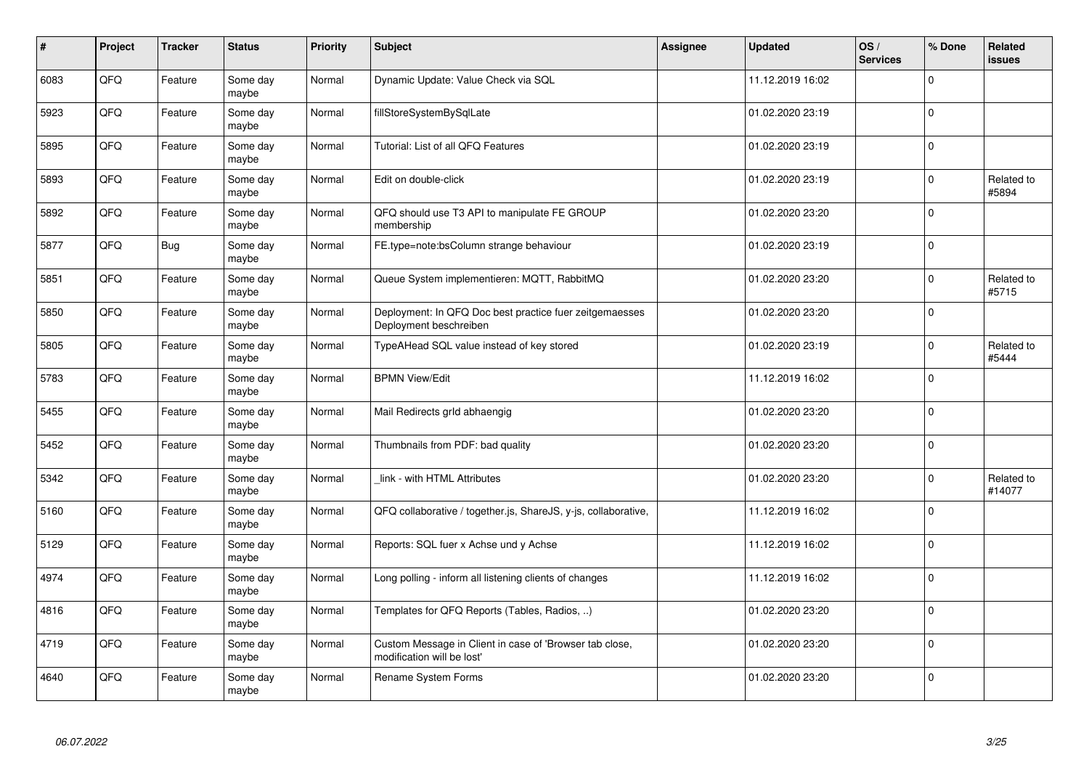| #    | Project | <b>Tracker</b> | <b>Status</b>     | <b>Priority</b> | <b>Subject</b>                                                                        | <b>Assignee</b> | <b>Updated</b>   | OS/<br><b>Services</b> | % Done      | Related<br><b>issues</b> |
|------|---------|----------------|-------------------|-----------------|---------------------------------------------------------------------------------------|-----------------|------------------|------------------------|-------------|--------------------------|
| 6083 | QFQ     | Feature        | Some day<br>maybe | Normal          | Dynamic Update: Value Check via SQL                                                   |                 | 11.12.2019 16:02 |                        | $\Omega$    |                          |
| 5923 | QFQ     | Feature        | Some day<br>maybe | Normal          | fillStoreSystemBySqlLate                                                              |                 | 01.02.2020 23:19 |                        | $\Omega$    |                          |
| 5895 | QFQ     | Feature        | Some day<br>maybe | Normal          | Tutorial: List of all QFQ Features                                                    |                 | 01.02.2020 23:19 |                        | $\Omega$    |                          |
| 5893 | QFQ     | Feature        | Some day<br>maybe | Normal          | Edit on double-click                                                                  |                 | 01.02.2020 23:19 |                        | $\Omega$    | Related to<br>#5894      |
| 5892 | QFQ     | Feature        | Some day<br>maybe | Normal          | QFQ should use T3 API to manipulate FE GROUP<br>membership                            |                 | 01.02.2020 23:20 |                        | $\Omega$    |                          |
| 5877 | QFQ     | Bug            | Some day<br>maybe | Normal          | FE.type=note:bsColumn strange behaviour                                               |                 | 01.02.2020 23:19 |                        | $\Omega$    |                          |
| 5851 | QFQ     | Feature        | Some day<br>maybe | Normal          | Queue System implementieren: MQTT, RabbitMQ                                           |                 | 01.02.2020 23:20 |                        | $\Omega$    | Related to<br>#5715      |
| 5850 | QFQ     | Feature        | Some day<br>maybe | Normal          | Deployment: In QFQ Doc best practice fuer zeitgemaesses<br>Deployment beschreiben     |                 | 01.02.2020 23:20 |                        | $\Omega$    |                          |
| 5805 | QFQ     | Feature        | Some day<br>maybe | Normal          | TypeAHead SQL value instead of key stored                                             |                 | 01.02.2020 23:19 |                        | $\Omega$    | Related to<br>#5444      |
| 5783 | QFQ     | Feature        | Some day<br>maybe | Normal          | <b>BPMN View/Edit</b>                                                                 |                 | 11.12.2019 16:02 |                        | $\Omega$    |                          |
| 5455 | QFQ     | Feature        | Some day<br>maybe | Normal          | Mail Redirects grld abhaengig                                                         |                 | 01.02.2020 23:20 |                        | $\mathbf 0$ |                          |
| 5452 | QFQ     | Feature        | Some day<br>maybe | Normal          | Thumbnails from PDF: bad quality                                                      |                 | 01.02.2020 23:20 |                        | $\mathbf 0$ |                          |
| 5342 | QFQ     | Feature        | Some day<br>maybe | Normal          | link - with HTML Attributes                                                           |                 | 01.02.2020 23:20 |                        | $\Omega$    | Related to<br>#14077     |
| 5160 | QFQ     | Feature        | Some day<br>maybe | Normal          | QFQ collaborative / together.js, ShareJS, y-js, collaborative,                        |                 | 11.12.2019 16:02 |                        | $\mathbf 0$ |                          |
| 5129 | QFQ     | Feature        | Some day<br>maybe | Normal          | Reports: SQL fuer x Achse und y Achse                                                 |                 | 11.12.2019 16:02 |                        | $\Omega$    |                          |
| 4974 | QFQ     | Feature        | Some day<br>maybe | Normal          | Long polling - inform all listening clients of changes                                |                 | 11.12.2019 16:02 |                        | $\Omega$    |                          |
| 4816 | QFQ     | Feature        | Some day<br>maybe | Normal          | Templates for QFQ Reports (Tables, Radios, )                                          |                 | 01.02.2020 23:20 |                        | $\Omega$    |                          |
| 4719 | QFQ     | Feature        | Some day<br>maybe | Normal          | Custom Message in Client in case of 'Browser tab close,<br>modification will be lost' |                 | 01.02.2020 23:20 |                        | $\mathbf 0$ |                          |
| 4640 | QFQ     | Feature        | Some day<br>maybe | Normal          | Rename System Forms                                                                   |                 | 01.02.2020 23:20 |                        | $\Omega$    |                          |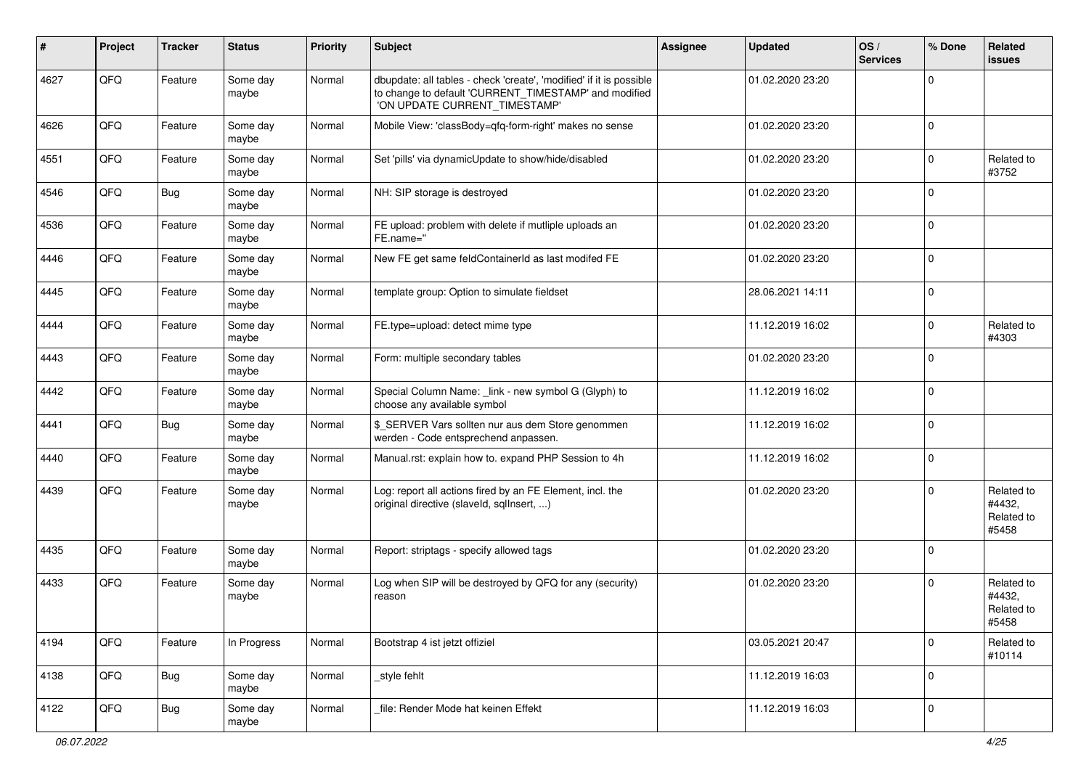| ∦    | Project | <b>Tracker</b> | <b>Status</b>     | <b>Priority</b> | <b>Subject</b>                                                                                                                                                | <b>Assignee</b> | <b>Updated</b>   | OS/<br><b>Services</b> | % Done      | Related<br><b>issues</b>                    |
|------|---------|----------------|-------------------|-----------------|---------------------------------------------------------------------------------------------------------------------------------------------------------------|-----------------|------------------|------------------------|-------------|---------------------------------------------|
| 4627 | QFQ     | Feature        | Some day<br>maybe | Normal          | dbupdate: all tables - check 'create', 'modified' if it is possible<br>to change to default 'CURRENT_TIMESTAMP' and modified<br>'ON UPDATE CURRENT_TIMESTAMP' |                 | 01.02.2020 23:20 |                        | $\Omega$    |                                             |
| 4626 | QFQ     | Feature        | Some day<br>maybe | Normal          | Mobile View: 'classBody=qfq-form-right' makes no sense                                                                                                        |                 | 01.02.2020 23:20 |                        | $\Omega$    |                                             |
| 4551 | QFQ     | Feature        | Some day<br>maybe | Normal          | Set 'pills' via dynamicUpdate to show/hide/disabled                                                                                                           |                 | 01.02.2020 23:20 |                        | $\Omega$    | Related to<br>#3752                         |
| 4546 | QFQ     | Bug            | Some day<br>maybe | Normal          | NH: SIP storage is destroyed                                                                                                                                  |                 | 01.02.2020 23:20 |                        | $\Omega$    |                                             |
| 4536 | QFQ     | Feature        | Some day<br>maybe | Normal          | FE upload: problem with delete if mutliple uploads an<br>FE.name="                                                                                            |                 | 01.02.2020 23:20 |                        | $\mathbf 0$ |                                             |
| 4446 | QFQ     | Feature        | Some day<br>maybe | Normal          | New FE get same feldContainerId as last modifed FE                                                                                                            |                 | 01.02.2020 23:20 |                        | $\Omega$    |                                             |
| 4445 | QFQ     | Feature        | Some day<br>maybe | Normal          | template group: Option to simulate fieldset                                                                                                                   |                 | 28.06.2021 14:11 |                        | $\Omega$    |                                             |
| 4444 | QFQ     | Feature        | Some day<br>maybe | Normal          | FE.type=upload: detect mime type                                                                                                                              |                 | 11.12.2019 16:02 |                        | $\Omega$    | Related to<br>#4303                         |
| 4443 | QFQ     | Feature        | Some day<br>maybe | Normal          | Form: multiple secondary tables                                                                                                                               |                 | 01.02.2020 23:20 |                        | $\Omega$    |                                             |
| 4442 | QFQ     | Feature        | Some day<br>maybe | Normal          | Special Column Name: _link - new symbol G (Glyph) to<br>choose any available symbol                                                                           |                 | 11.12.2019 16:02 |                        | $\mathbf 0$ |                                             |
| 4441 | QFQ     | Bug            | Some day<br>maybe | Normal          | \$_SERVER Vars sollten nur aus dem Store genommen<br>werden - Code entsprechend anpassen.                                                                     |                 | 11.12.2019 16:02 |                        | $\Omega$    |                                             |
| 4440 | QFQ     | Feature        | Some day<br>maybe | Normal          | Manual.rst: explain how to. expand PHP Session to 4h                                                                                                          |                 | 11.12.2019 16:02 |                        | $\Omega$    |                                             |
| 4439 | QFQ     | Feature        | Some day<br>maybe | Normal          | Log: report all actions fired by an FE Element, incl. the<br>original directive (slaveld, sqlInsert, )                                                        |                 | 01.02.2020 23:20 |                        | $\Omega$    | Related to<br>#4432,<br>Related to<br>#5458 |
| 4435 | QFQ     | Feature        | Some day<br>maybe | Normal          | Report: striptags - specify allowed tags                                                                                                                      |                 | 01.02.2020 23:20 |                        | $\Omega$    |                                             |
| 4433 | QFQ     | Feature        | Some day<br>maybe | Normal          | Log when SIP will be destroyed by QFQ for any (security)<br>reason                                                                                            |                 | 01.02.2020 23:20 |                        | $\Omega$    | Related to<br>#4432,<br>Related to<br>#5458 |
| 4194 | QFQ     | Feature        | In Progress       | Normal          | Bootstrap 4 ist jetzt offiziel                                                                                                                                |                 | 03.05.2021 20:47 |                        | $\Omega$    | Related to<br>#10114                        |
| 4138 | QFQ     | Bug            | Some day<br>maybe | Normal          | style fehlt                                                                                                                                                   |                 | 11.12.2019 16:03 |                        | $\mathbf 0$ |                                             |
| 4122 | QFQ     | i Bug          | Some day<br>maybe | Normal          | file: Render Mode hat keinen Effekt                                                                                                                           |                 | 11.12.2019 16:03 |                        | 0           |                                             |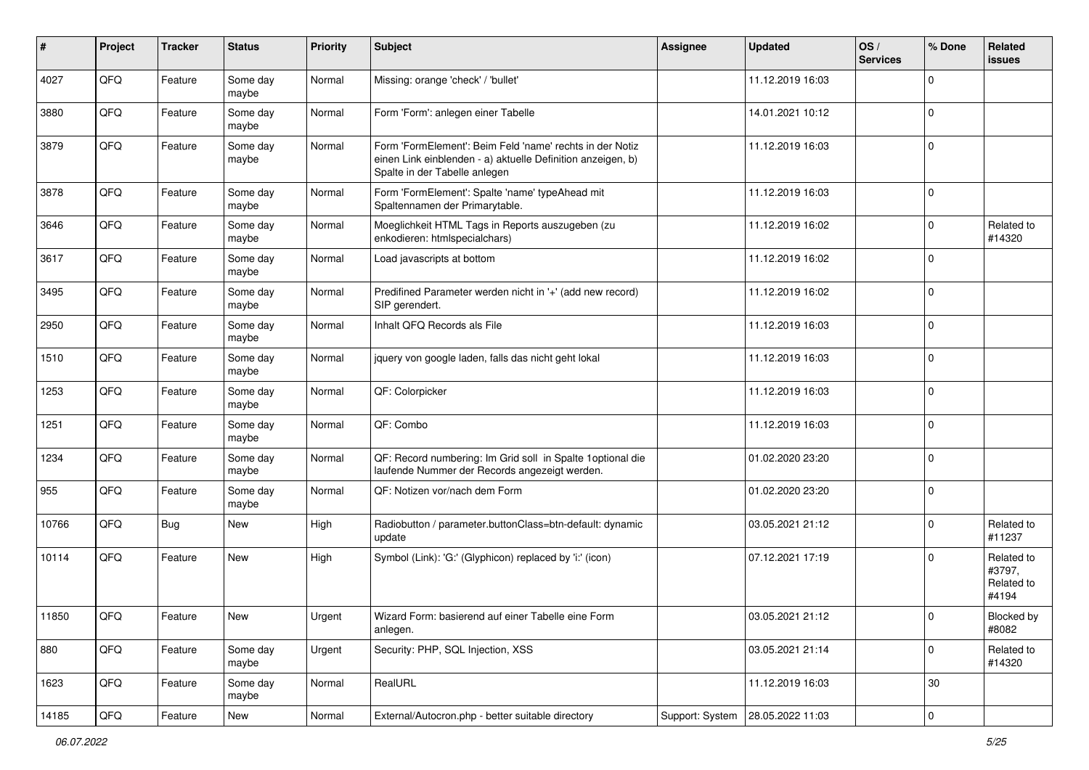| $\pmb{\#}$ | Project | <b>Tracker</b> | <b>Status</b>     | <b>Priority</b> | <b>Subject</b>                                                                                                                                           | <b>Assignee</b> | Updated                            | OS/<br><b>Services</b> | % Done      | Related<br><b>issues</b>                    |
|------------|---------|----------------|-------------------|-----------------|----------------------------------------------------------------------------------------------------------------------------------------------------------|-----------------|------------------------------------|------------------------|-------------|---------------------------------------------|
| 4027       | QFQ     | Feature        | Some day<br>maybe | Normal          | Missing: orange 'check' / 'bullet'                                                                                                                       |                 | 11.12.2019 16:03                   |                        | $\Omega$    |                                             |
| 3880       | QFQ     | Feature        | Some day<br>maybe | Normal          | Form 'Form': anlegen einer Tabelle                                                                                                                       |                 | 14.01.2021 10:12                   |                        | $\mathbf 0$ |                                             |
| 3879       | QFQ     | Feature        | Some day<br>maybe | Normal          | Form 'FormElement': Beim Feld 'name' rechts in der Notiz<br>einen Link einblenden - a) aktuelle Definition anzeigen, b)<br>Spalte in der Tabelle anlegen |                 | 11.12.2019 16:03                   |                        | $\Omega$    |                                             |
| 3878       | QFQ     | Feature        | Some day<br>maybe | Normal          | Form 'FormElement': Spalte 'name' typeAhead mit<br>Spaltennamen der Primarytable.                                                                        |                 | 11.12.2019 16:03                   |                        | $\Omega$    |                                             |
| 3646       | QFQ     | Feature        | Some day<br>maybe | Normal          | Moeglichkeit HTML Tags in Reports auszugeben (zu<br>enkodieren: htmlspecialchars)                                                                        |                 | 11.12.2019 16:02                   |                        | $\mathbf 0$ | Related to<br>#14320                        |
| 3617       | QFQ     | Feature        | Some day<br>maybe | Normal          | Load javascripts at bottom                                                                                                                               |                 | 11.12.2019 16:02                   |                        | $\Omega$    |                                             |
| 3495       | QFQ     | Feature        | Some day<br>maybe | Normal          | Predifined Parameter werden nicht in '+' (add new record)<br>SIP gerendert.                                                                              |                 | 11.12.2019 16:02                   |                        | $\Omega$    |                                             |
| 2950       | QFQ     | Feature        | Some day<br>maybe | Normal          | Inhalt QFQ Records als File                                                                                                                              |                 | 11.12.2019 16:03                   |                        | $\Omega$    |                                             |
| 1510       | QFQ     | Feature        | Some day<br>maybe | Normal          | jquery von google laden, falls das nicht geht lokal                                                                                                      |                 | 11.12.2019 16:03                   |                        | $\mathbf 0$ |                                             |
| 1253       | QFQ     | Feature        | Some day<br>maybe | Normal          | QF: Colorpicker                                                                                                                                          |                 | 11.12.2019 16:03                   |                        | $\mathbf 0$ |                                             |
| 1251       | QFQ     | Feature        | Some day<br>maybe | Normal          | QF: Combo                                                                                                                                                |                 | 11.12.2019 16:03                   |                        | $\Omega$    |                                             |
| 1234       | QFQ     | Feature        | Some day<br>maybe | Normal          | QF: Record numbering: Im Grid soll in Spalte 1optional die<br>laufende Nummer der Records angezeigt werden.                                              |                 | 01.02.2020 23:20                   |                        | $\Omega$    |                                             |
| 955        | QFQ     | Feature        | Some day<br>maybe | Normal          | QF: Notizen vor/nach dem Form                                                                                                                            |                 | 01.02.2020 23:20                   |                        | $\Omega$    |                                             |
| 10766      | QFQ     | Bug            | New               | High            | Radiobutton / parameter.buttonClass=btn-default: dynamic<br>update                                                                                       |                 | 03.05.2021 21:12                   |                        | $\Omega$    | Related to<br>#11237                        |
| 10114      | QFQ     | Feature        | New               | High            | Symbol (Link): 'G:' (Glyphicon) replaced by 'i:' (icon)                                                                                                  |                 | 07.12.2021 17:19                   |                        | $\Omega$    | Related to<br>#3797,<br>Related to<br>#4194 |
| 11850      | QFQ     | Feature        | New               | Urgent          | Wizard Form: basierend auf einer Tabelle eine Form<br>anlegen.                                                                                           |                 | 03.05.2021 21:12                   |                        |             | Blocked by<br>#8082                         |
| 880        | QFQ     | Feature        | Some day<br>maybe | Urgent          | Security: PHP, SQL Injection, XSS                                                                                                                        |                 | 03.05.2021 21:14                   |                        | $\mathbf 0$ | Related to<br>#14320                        |
| 1623       | QFQ     | Feature        | Some day<br>maybe | Normal          | RealURL                                                                                                                                                  |                 | 11.12.2019 16:03                   |                        | 30          |                                             |
| 14185      | QFQ     | Feature        | New               | Normal          | External/Autocron.php - better suitable directory                                                                                                        |                 | Support: System   28.05.2022 11:03 |                        | 0           |                                             |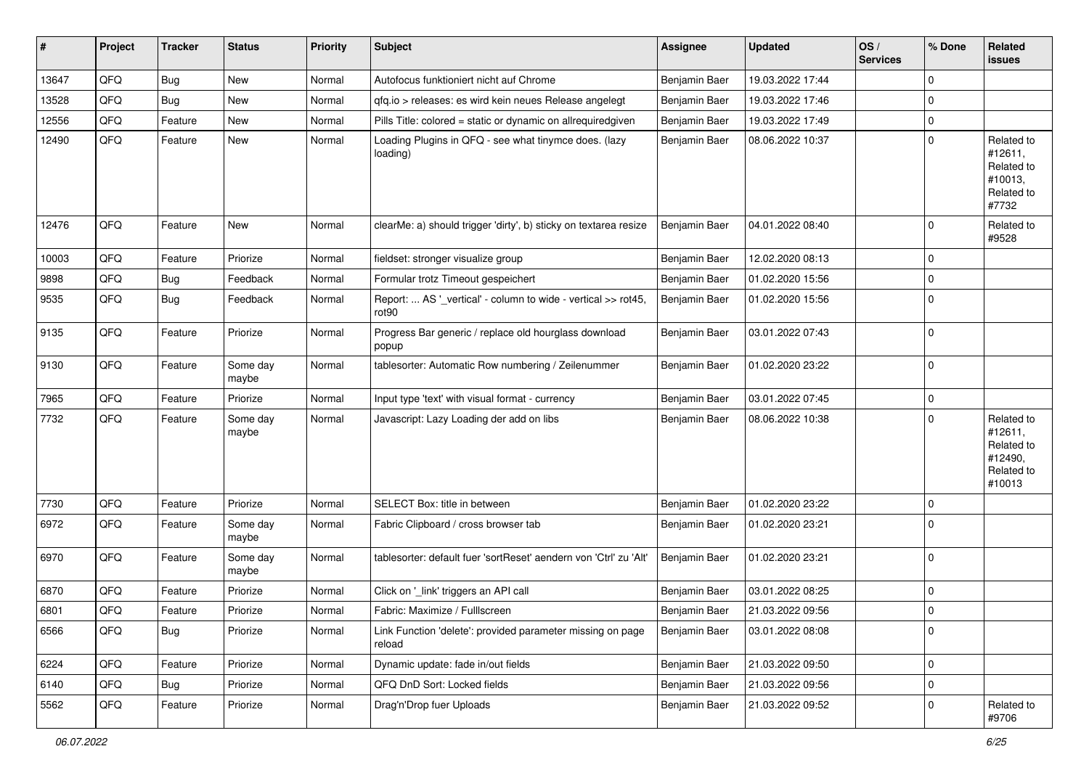| #     | Project | <b>Tracker</b> | <b>Status</b>     | <b>Priority</b> | <b>Subject</b>                                                                     | <b>Assignee</b> | Updated          | OS/<br><b>Services</b> | % Done      | Related<br><b>issues</b>                                               |
|-------|---------|----------------|-------------------|-----------------|------------------------------------------------------------------------------------|-----------------|------------------|------------------------|-------------|------------------------------------------------------------------------|
| 13647 | QFQ     | <b>Bug</b>     | <b>New</b>        | Normal          | Autofocus funktioniert nicht auf Chrome                                            | Benjamin Baer   | 19.03.2022 17:44 |                        | $\Omega$    |                                                                        |
| 13528 | QFQ     | <b>Bug</b>     | <b>New</b>        | Normal          | gfg.io > releases: es wird kein neues Release angelegt                             | Benjamin Baer   | 19.03.2022 17:46 |                        | $\Omega$    |                                                                        |
| 12556 | QFQ     | Feature        | <b>New</b>        | Normal          | Pills Title: colored = static or dynamic on allrequiredgiven                       | Benjamin Baer   | 19.03.2022 17:49 |                        | $\Omega$    |                                                                        |
| 12490 | QFQ     | Feature        | New               | Normal          | Loading Plugins in QFQ - see what tinymce does. (lazy<br>loading)                  | Benjamin Baer   | 08.06.2022 10:37 |                        | $\Omega$    | Related to<br>#12611,<br>Related to<br>#10013,<br>Related to<br>#7732  |
| 12476 | QFQ     | Feature        | New               | Normal          | clearMe: a) should trigger 'dirty', b) sticky on textarea resize                   | Benjamin Baer   | 04.01.2022 08:40 |                        | 0           | Related to<br>#9528                                                    |
| 10003 | QFQ     | Feature        | Priorize          | Normal          | fieldset: stronger visualize group                                                 | Benjamin Baer   | 12.02.2020 08:13 |                        | $\mathbf 0$ |                                                                        |
| 9898  | QFQ     | Bug            | Feedback          | Normal          | Formular trotz Timeout gespeichert                                                 | Benjamin Baer   | 01.02.2020 15:56 |                        | $\Omega$    |                                                                        |
| 9535  | QFQ     | Bug            | Feedback          | Normal          | Report:  AS '_vertical' - column to wide - vertical >> rot45,<br>rot <sub>90</sub> | Benjamin Baer   | 01.02.2020 15:56 |                        | 0           |                                                                        |
| 9135  | QFQ     | Feature        | Priorize          | Normal          | Progress Bar generic / replace old hourglass download<br>popup                     | Benjamin Baer   | 03.01.2022 07:43 |                        | $\Omega$    |                                                                        |
| 9130  | QFQ     | Feature        | Some day<br>maybe | Normal          | tablesorter: Automatic Row numbering / Zeilenummer                                 | Benjamin Baer   | 01.02.2020 23:22 |                        | $\Omega$    |                                                                        |
| 7965  | QFQ     | Feature        | Priorize          | Normal          | Input type 'text' with visual format - currency                                    | Benjamin Baer   | 03.01.2022 07:45 |                        | $\mathbf 0$ |                                                                        |
| 7732  | QFQ     | Feature        | Some day<br>maybe | Normal          | Javascript: Lazy Loading der add on libs                                           | Benjamin Baer   | 08.06.2022 10:38 |                        | $\Omega$    | Related to<br>#12611,<br>Related to<br>#12490,<br>Related to<br>#10013 |
| 7730  | QFQ     | Feature        | Priorize          | Normal          | SELECT Box: title in between                                                       | Benjamin Baer   | 01.02.2020 23:22 |                        | 0           |                                                                        |
| 6972  | QFQ     | Feature        | Some day<br>maybe | Normal          | Fabric Clipboard / cross browser tab                                               | Benjamin Baer   | 01.02.2020 23:21 |                        | $\Omega$    |                                                                        |
| 6970  | QFQ     | Feature        | Some day<br>maybe | Normal          | tablesorter: default fuer 'sortReset' aendern von 'Ctrl' zu 'Alt'                  | Benjamin Baer   | 01.02.2020 23:21 |                        | $\Omega$    |                                                                        |
| 6870  | QFQ     | Feature        | Priorize          | Normal          | Click on '_link' triggers an API call                                              | Benjamin Baer   | 03.01.2022 08:25 |                        | $\Omega$    |                                                                        |
| 6801  | QFQ     | Feature        | Priorize          | Normal          | Fabric: Maximize / FullIscreen                                                     | Benjamin Baer   | 21.03.2022 09:56 |                        | $\Omega$    |                                                                        |
| 6566  | QFQ     | <b>Bug</b>     | Priorize          | Normal          | Link Function 'delete': provided parameter missing on page<br>reload               | Benjamin Baer   | 03.01.2022 08:08 |                        | $\mathbf 0$ |                                                                        |
| 6224  | QFQ     | Feature        | Priorize          | Normal          | Dynamic update: fade in/out fields                                                 | Benjamin Baer   | 21.03.2022 09:50 |                        | $\mathbf 0$ |                                                                        |
| 6140  | QFQ     | <b>Bug</b>     | Priorize          | Normal          | QFQ DnD Sort: Locked fields                                                        | Benjamin Baer   | 21.03.2022 09:56 |                        | 0           |                                                                        |
| 5562  | QFQ     | Feature        | Priorize          | Normal          | Drag'n'Drop fuer Uploads                                                           | Benjamin Baer   | 21.03.2022 09:52 |                        | 0           | Related to<br>#9706                                                    |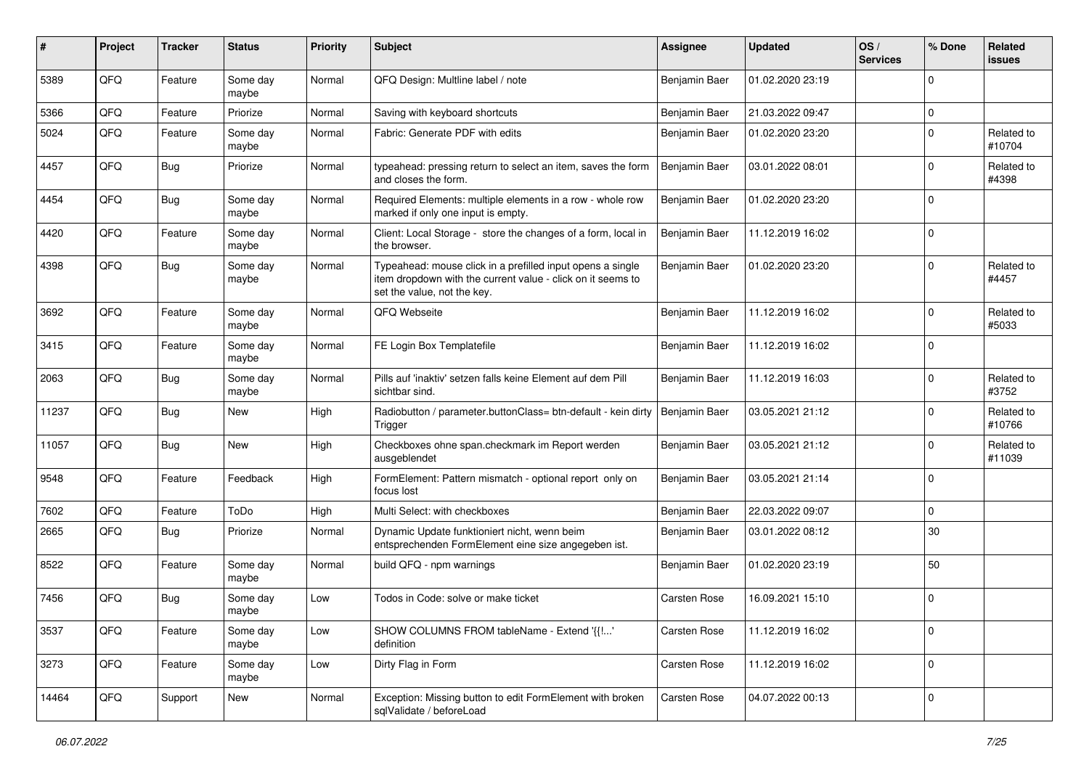| #     | Project | <b>Tracker</b> | <b>Status</b>     | <b>Priority</b> | <b>Subject</b>                                                                                                                                           | <b>Assignee</b>     | <b>Updated</b>   | OS/<br><b>Services</b> | % Done      | Related<br><b>issues</b> |
|-------|---------|----------------|-------------------|-----------------|----------------------------------------------------------------------------------------------------------------------------------------------------------|---------------------|------------------|------------------------|-------------|--------------------------|
| 5389  | QFQ     | Feature        | Some day<br>maybe | Normal          | QFQ Design: Multline label / note                                                                                                                        | Benjamin Baer       | 01.02.2020 23:19 |                        | O           |                          |
| 5366  | QFQ     | Feature        | Priorize          | Normal          | Saving with keyboard shortcuts                                                                                                                           | Benjamin Baer       | 21.03.2022 09:47 |                        | $\mathbf 0$ |                          |
| 5024  | QFQ     | Feature        | Some day<br>maybe | Normal          | Fabric: Generate PDF with edits                                                                                                                          | Benjamin Baer       | 01.02.2020 23:20 |                        | $\Omega$    | Related to<br>#10704     |
| 4457  | QFQ     | Bug            | Priorize          | Normal          | typeahead: pressing return to select an item, saves the form<br>and closes the form.                                                                     | Benjamin Baer       | 03.01.2022 08:01 |                        | $\Omega$    | Related to<br>#4398      |
| 4454  | QFQ     | Bug            | Some day<br>maybe | Normal          | Required Elements: multiple elements in a row - whole row<br>marked if only one input is empty.                                                          | Benjamin Baer       | 01.02.2020 23:20 |                        | $\Omega$    |                          |
| 4420  | QFQ     | Feature        | Some day<br>maybe | Normal          | Client: Local Storage - store the changes of a form, local in<br>the browser.                                                                            | Benjamin Baer       | 11.12.2019 16:02 |                        | $\Omega$    |                          |
| 4398  | QFQ     | <b>Bug</b>     | Some day<br>maybe | Normal          | Typeahead: mouse click in a prefilled input opens a single<br>item dropdown with the current value - click on it seems to<br>set the value, not the key. | Benjamin Baer       | 01.02.2020 23:20 |                        | $\Omega$    | Related to<br>#4457      |
| 3692  | QFQ     | Feature        | Some day<br>maybe | Normal          | QFQ Webseite                                                                                                                                             | Benjamin Baer       | 11.12.2019 16:02 |                        | $\Omega$    | Related to<br>#5033      |
| 3415  | QFQ     | Feature        | Some day<br>maybe | Normal          | FE Login Box Templatefile                                                                                                                                | Benjamin Baer       | 11.12.2019 16:02 |                        | 0           |                          |
| 2063  | QFQ     | Bug            | Some day<br>maybe | Normal          | Pills auf 'inaktiv' setzen falls keine Element auf dem Pill<br>sichtbar sind.                                                                            | Benjamin Baer       | 11.12.2019 16:03 |                        | 0           | Related to<br>#3752      |
| 11237 | QFQ     | <b>Bug</b>     | <b>New</b>        | High            | Radiobutton / parameter.buttonClass= btn-default - kein dirty<br>Trigger                                                                                 | Benjamin Baer       | 03.05.2021 21:12 |                        | $\Omega$    | Related to<br>#10766     |
| 11057 | QFQ     | <b>Bug</b>     | <b>New</b>        | High            | Checkboxes ohne span.checkmark im Report werden<br>ausgeblendet                                                                                          | Benjamin Baer       | 03.05.2021 21:12 |                        | $\Omega$    | Related to<br>#11039     |
| 9548  | QFQ     | Feature        | Feedback          | High            | FormElement: Pattern mismatch - optional report only on<br>focus lost                                                                                    | Benjamin Baer       | 03.05.2021 21:14 |                        | $\Omega$    |                          |
| 7602  | QFQ     | Feature        | ToDo              | High            | Multi Select: with checkboxes                                                                                                                            | Benjamin Baer       | 22.03.2022 09:07 |                        | 0           |                          |
| 2665  | QFQ     | Bug            | Priorize          | Normal          | Dynamic Update funktioniert nicht, wenn beim<br>entsprechenden FormElement eine size angegeben ist.                                                      | Benjamin Baer       | 03.01.2022 08:12 |                        | 30          |                          |
| 8522  | QFQ     | Feature        | Some day<br>maybe | Normal          | build QFQ - npm warnings                                                                                                                                 | Benjamin Baer       | 01.02.2020 23:19 |                        | 50          |                          |
| 7456  | QFQ     | <b>Bug</b>     | Some day<br>maybe | Low             | Todos in Code: solve or make ticket                                                                                                                      | <b>Carsten Rose</b> | 16.09.2021 15:10 |                        | $\mathbf 0$ |                          |
| 3537  | QFQ     | Feature        | Some day<br>maybe | Low             | SHOW COLUMNS FROM tableName - Extend '{{!'<br>definition                                                                                                 | Carsten Rose        | 11.12.2019 16:02 |                        | $\mathbf 0$ |                          |
| 3273  | QFQ     | Feature        | Some day<br>maybe | Low             | Dirty Flag in Form                                                                                                                                       | Carsten Rose        | 11.12.2019 16:02 |                        | $\mathbf 0$ |                          |
| 14464 | QFQ     | Support        | New               | Normal          | Exception: Missing button to edit FormElement with broken<br>sqlValidate / beforeLoad                                                                    | Carsten Rose        | 04.07.2022 00:13 |                        | 0           |                          |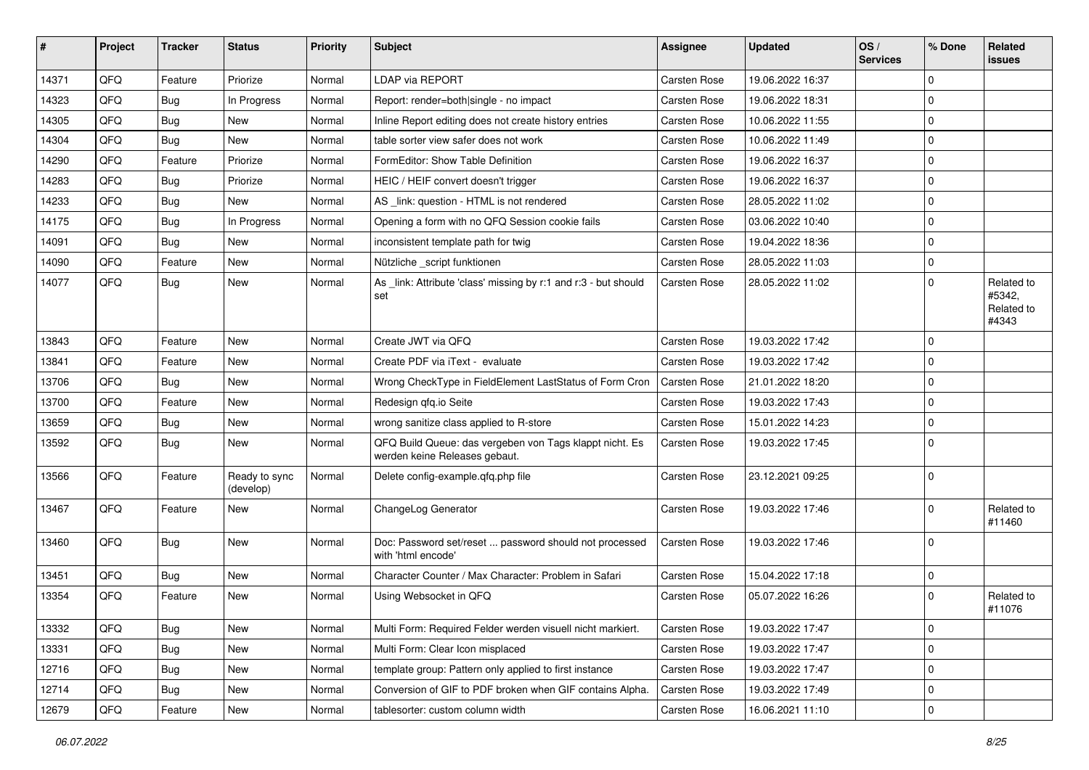| #     | Project | <b>Tracker</b> | <b>Status</b>              | <b>Priority</b> | Subject                                                                                  | <b>Assignee</b>     | <b>Updated</b>   | OS/<br><b>Services</b> | % Done      | Related<br><b>issues</b>                    |
|-------|---------|----------------|----------------------------|-----------------|------------------------------------------------------------------------------------------|---------------------|------------------|------------------------|-------------|---------------------------------------------|
| 14371 | QFQ     | Feature        | Priorize                   | Normal          | LDAP via REPORT                                                                          | Carsten Rose        | 19.06.2022 16:37 |                        | $\Omega$    |                                             |
| 14323 | QFQ     | <b>Bug</b>     | In Progress                | Normal          | Report: render=both single - no impact                                                   | <b>Carsten Rose</b> | 19.06.2022 18:31 |                        | $\mathbf 0$ |                                             |
| 14305 | QFQ     | <b>Bug</b>     | New                        | Normal          | Inline Report editing does not create history entries                                    | Carsten Rose        | 10.06.2022 11:55 |                        | $\Omega$    |                                             |
| 14304 | QFQ     | <b>Bug</b>     | New                        | Normal          | table sorter view safer does not work                                                    | Carsten Rose        | 10.06.2022 11:49 |                        | $\Omega$    |                                             |
| 14290 | QFQ     | Feature        | Priorize                   | Normal          | FormEditor: Show Table Definition                                                        | <b>Carsten Rose</b> | 19.06.2022 16:37 |                        | $\Omega$    |                                             |
| 14283 | QFQ     | <b>Bug</b>     | Priorize                   | Normal          | HEIC / HEIF convert doesn't trigger                                                      | <b>Carsten Rose</b> | 19.06.2022 16:37 |                        | $\Omega$    |                                             |
| 14233 | QFQ     | <b>Bug</b>     | New                        | Normal          | AS _link: question - HTML is not rendered                                                | Carsten Rose        | 28.05.2022 11:02 |                        | $\mathbf 0$ |                                             |
| 14175 | QFQ     | <b>Bug</b>     | In Progress                | Normal          | Opening a form with no QFQ Session cookie fails                                          | <b>Carsten Rose</b> | 03.06.2022 10:40 |                        | $\Omega$    |                                             |
| 14091 | QFQ     | <b>Bug</b>     | New                        | Normal          | inconsistent template path for twig                                                      | <b>Carsten Rose</b> | 19.04.2022 18:36 |                        | $\Omega$    |                                             |
| 14090 | QFQ     | Feature        | <b>New</b>                 | Normal          | Nützliche _script funktionen                                                             | <b>Carsten Rose</b> | 28.05.2022 11:03 |                        | $\mathbf 0$ |                                             |
| 14077 | QFQ     | Bug            | New                        | Normal          | As _link: Attribute 'class' missing by r:1 and r:3 - but should<br>set                   | <b>Carsten Rose</b> | 28.05.2022 11:02 |                        | $\Omega$    | Related to<br>#5342,<br>Related to<br>#4343 |
| 13843 | QFQ     | Feature        | New                        | Normal          | Create JWT via QFQ                                                                       | <b>Carsten Rose</b> | 19.03.2022 17:42 |                        | $\Omega$    |                                             |
| 13841 | QFQ     | Feature        | New                        | Normal          | Create PDF via iText - evaluate                                                          | <b>Carsten Rose</b> | 19.03.2022 17:42 |                        | $\Omega$    |                                             |
| 13706 | QFQ     | <b>Bug</b>     | New                        | Normal          | Wrong CheckType in FieldElement LastStatus of Form Cron                                  | <b>Carsten Rose</b> | 21.01.2022 18:20 |                        | $\Omega$    |                                             |
| 13700 | QFQ     | Feature        | New                        | Normal          | Redesign qfq.io Seite                                                                    | Carsten Rose        | 19.03.2022 17:43 |                        | $\mathbf 0$ |                                             |
| 13659 | QFQ     | <b>Bug</b>     | New                        | Normal          | wrong sanitize class applied to R-store                                                  | <b>Carsten Rose</b> | 15.01.2022 14:23 |                        | 0           |                                             |
| 13592 | QFQ     | Bug            | New                        | Normal          | QFQ Build Queue: das vergeben von Tags klappt nicht. Es<br>werden keine Releases gebaut. | <b>Carsten Rose</b> | 19.03.2022 17:45 |                        | $\Omega$    |                                             |
| 13566 | QFQ     | Feature        | Ready to sync<br>(develop) | Normal          | Delete config-example.qfq.php file                                                       | Carsten Rose        | 23.12.2021 09:25 |                        | $\Omega$    |                                             |
| 13467 | QFQ     | Feature        | New                        | Normal          | ChangeLog Generator                                                                      | <b>Carsten Rose</b> | 19.03.2022 17:46 |                        | $\Omega$    | Related to<br>#11460                        |
| 13460 | QFQ     | Bug            | New                        | Normal          | Doc: Password set/reset  password should not processed<br>with 'html encode'             | <b>Carsten Rose</b> | 19.03.2022 17:46 |                        | 0           |                                             |
| 13451 | QFQ     | <b>Bug</b>     | New                        | Normal          | Character Counter / Max Character: Problem in Safari                                     | <b>Carsten Rose</b> | 15.04.2022 17:18 |                        | $\mathbf 0$ |                                             |
| 13354 | QFQ     | Feature        | New                        | Normal          | Using Websocket in QFQ                                                                   | <b>Carsten Rose</b> | 05.07.2022 16:26 |                        | $\Omega$    | Related to<br>#11076                        |
| 13332 | QFQ     | Bug            | New                        | Normal          | Multi Form: Required Felder werden visuell nicht markiert.                               | Carsten Rose        | 19.03.2022 17:47 |                        | $\mathbf 0$ |                                             |
| 13331 | QFQ     | Bug            | New                        | Normal          | Multi Form: Clear Icon misplaced                                                         | Carsten Rose        | 19.03.2022 17:47 |                        | $\mathbf 0$ |                                             |
| 12716 | QFQ     | <b>Bug</b>     | New                        | Normal          | template group: Pattern only applied to first instance                                   | Carsten Rose        | 19.03.2022 17:47 |                        | $\mathbf 0$ |                                             |
| 12714 | QFQ     | <b>Bug</b>     | New                        | Normal          | Conversion of GIF to PDF broken when GIF contains Alpha.                                 | Carsten Rose        | 19.03.2022 17:49 |                        | 0           |                                             |
| 12679 | QFQ     | Feature        | New                        | Normal          | tablesorter: custom column width                                                         | Carsten Rose        | 16.06.2021 11:10 |                        | $\mathbf 0$ |                                             |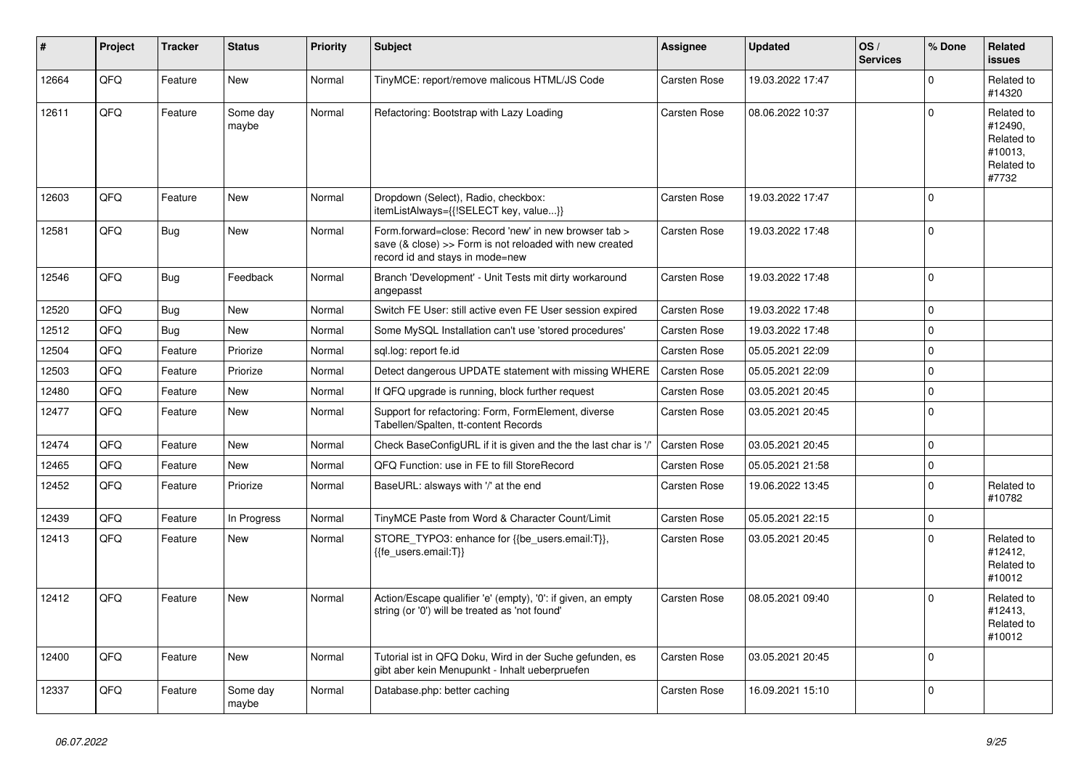| #     | Project | <b>Tracker</b> | <b>Status</b>     | <b>Priority</b> | <b>Subject</b>                                                                                                                                      | <b>Assignee</b>     | <b>Updated</b>   | OS/<br><b>Services</b> | % Done      | <b>Related</b><br>issues                                              |
|-------|---------|----------------|-------------------|-----------------|-----------------------------------------------------------------------------------------------------------------------------------------------------|---------------------|------------------|------------------------|-------------|-----------------------------------------------------------------------|
| 12664 | QFQ     | Feature        | New               | Normal          | TinyMCE: report/remove malicous HTML/JS Code                                                                                                        | Carsten Rose        | 19.03.2022 17:47 |                        | $\Omega$    | Related to<br>#14320                                                  |
| 12611 | QFQ     | Feature        | Some day<br>maybe | Normal          | Refactoring: Bootstrap with Lazy Loading                                                                                                            | <b>Carsten Rose</b> | 08.06.2022 10:37 |                        | $\Omega$    | Related to<br>#12490,<br>Related to<br>#10013,<br>Related to<br>#7732 |
| 12603 | QFQ     | Feature        | New               | Normal          | Dropdown (Select), Radio, checkbox:<br>itemListAlways={{!SELECT key, value}}                                                                        | <b>Carsten Rose</b> | 19.03.2022 17:47 |                        | $\Omega$    |                                                                       |
| 12581 | QFQ     | Bug            | <b>New</b>        | Normal          | Form.forward=close: Record 'new' in new browser tab ><br>save (& close) >> Form is not reloaded with new created<br>record id and stays in mode=new | Carsten Rose        | 19.03.2022 17:48 |                        | I٥          |                                                                       |
| 12546 | QFQ     | Bug            | Feedback          | Normal          | Branch 'Development' - Unit Tests mit dirty workaround<br>angepasst                                                                                 | Carsten Rose        | 19.03.2022 17:48 |                        | $\Omega$    |                                                                       |
| 12520 | QFQ     | Bug            | <b>New</b>        | Normal          | Switch FE User: still active even FE User session expired                                                                                           | <b>Carsten Rose</b> | 19.03.2022 17:48 |                        | $\mathbf 0$ |                                                                       |
| 12512 | QFQ     | Bug            | <b>New</b>        | Normal          | Some MySQL Installation can't use 'stored procedures'                                                                                               | <b>Carsten Rose</b> | 19.03.2022 17:48 |                        | $\Omega$    |                                                                       |
| 12504 | QFQ     | Feature        | Priorize          | Normal          | sql.log: report fe.id                                                                                                                               | <b>Carsten Rose</b> | 05.05.2021 22:09 |                        | l O         |                                                                       |
| 12503 | QFQ     | Feature        | Priorize          | Normal          | Detect dangerous UPDATE statement with missing WHERE                                                                                                | <b>Carsten Rose</b> | 05.05.2021 22:09 |                        | $\Omega$    |                                                                       |
| 12480 | QFQ     | Feature        | <b>New</b>        | Normal          | If QFQ upgrade is running, block further request                                                                                                    | Carsten Rose        | 03.05.2021 20:45 |                        | l 0         |                                                                       |
| 12477 | QFQ     | Feature        | <b>New</b>        | Normal          | Support for refactoring: Form, FormElement, diverse<br>Tabellen/Spalten, tt-content Records                                                         | Carsten Rose        | 03.05.2021 20:45 |                        | l o         |                                                                       |
| 12474 | QFQ     | Feature        | New               | Normal          | Check BaseConfigURL if it is given and the the last char is '/                                                                                      | <b>Carsten Rose</b> | 03.05.2021 20:45 |                        | $\mathbf 0$ |                                                                       |
| 12465 | QFQ     | Feature        | New               | Normal          | QFQ Function: use in FE to fill StoreRecord                                                                                                         | <b>Carsten Rose</b> | 05.05.2021 21:58 |                        | $\Omega$    |                                                                       |
| 12452 | QFQ     | Feature        | Priorize          | Normal          | BaseURL: alsways with '/' at the end                                                                                                                | Carsten Rose        | 19.06.2022 13:45 |                        | $\Omega$    | Related to<br>#10782                                                  |
| 12439 | QFQ     | Feature        | In Progress       | Normal          | TinyMCE Paste from Word & Character Count/Limit                                                                                                     | <b>Carsten Rose</b> | 05.05.2021 22:15 |                        | $\mathbf 0$ |                                                                       |
| 12413 | QFQ     | Feature        | New               | Normal          | STORE_TYPO3: enhance for {{be_users.email:T}},<br>{{fe users.email:T}}                                                                              | Carsten Rose        | 03.05.2021 20:45 |                        | $\Omega$    | Related to<br>#12412.<br>Related to<br>#10012                         |
| 12412 | QFQ     | Feature        | New               | Normal          | Action/Escape qualifier 'e' (empty), '0': if given, an empty<br>string (or '0') will be treated as 'not found'                                      | Carsten Rose        | 08.05.2021 09:40 |                        | $\Omega$    | Related to<br>#12413,<br>Related to<br>#10012                         |
| 12400 | QFQ     | Feature        | New               | Normal          | Tutorial ist in QFQ Doku, Wird in der Suche gefunden, es<br>gibt aber kein Menupunkt - Inhalt ueberpruefen                                          | <b>Carsten Rose</b> | 03.05.2021 20:45 |                        | $\Omega$    |                                                                       |
| 12337 | QFQ     | Feature        | Some day<br>maybe | Normal          | Database.php: better caching                                                                                                                        | Carsten Rose        | 16.09.2021 15:10 |                        | $\Omega$    |                                                                       |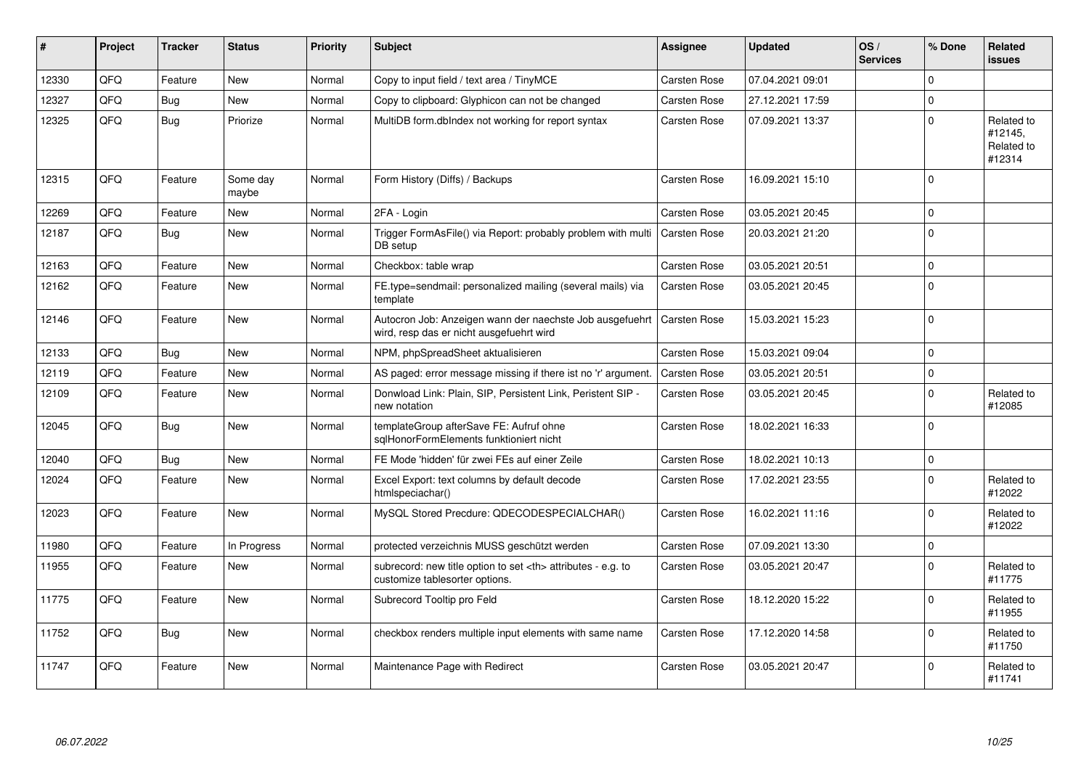| #     | Project | <b>Tracker</b> | <b>Status</b>     | Priority | <b>Subject</b>                                                                                       | Assignee                                               | <b>Updated</b>      | OS/<br><b>Services</b> | % Done      | Related<br>issues                             |                      |
|-------|---------|----------------|-------------------|----------|------------------------------------------------------------------------------------------------------|--------------------------------------------------------|---------------------|------------------------|-------------|-----------------------------------------------|----------------------|
| 12330 | QFQ     | Feature        | New               | Normal   | Copy to input field / text area / TinyMCE                                                            | <b>Carsten Rose</b>                                    | 07.04.2021 09:01    |                        | $\Omega$    |                                               |                      |
| 12327 | QFQ     | <b>Bug</b>     | New               | Normal   | Copy to clipboard: Glyphicon can not be changed                                                      | <b>Carsten Rose</b>                                    | 27.12.2021 17:59    |                        | $\mathbf 0$ |                                               |                      |
| 12325 | QFQ     | <b>Bug</b>     | Priorize          | Normal   | MultiDB form.dblndex not working for report syntax                                                   | <b>Carsten Rose</b>                                    | 07.09.2021 13:37    |                        | $\Omega$    | Related to<br>#12145,<br>Related to<br>#12314 |                      |
| 12315 | QFQ     | Feature        | Some day<br>maybe | Normal   | Form History (Diffs) / Backups                                                                       | <b>Carsten Rose</b>                                    | 16.09.2021 15:10    |                        | $\Omega$    |                                               |                      |
| 12269 | QFQ     | Feature        | New               | Normal   | 2FA - Login                                                                                          | <b>Carsten Rose</b>                                    | 03.05.2021 20:45    |                        | $\mathbf 0$ |                                               |                      |
| 12187 | QFQ     | <b>Bug</b>     | New               | Normal   | Trigger FormAsFile() via Report: probably problem with multi<br>DB setup                             | <b>Carsten Rose</b>                                    | 20.03.2021 21:20    |                        | $\Omega$    |                                               |                      |
| 12163 | QFQ     | Feature        | <b>New</b>        | Normal   | Checkbox: table wrap                                                                                 | Carsten Rose                                           | 03.05.2021 20:51    |                        | $\Omega$    |                                               |                      |
| 12162 | QFQ     | Feature        | <b>New</b>        | Normal   | FE.type=sendmail: personalized mailing (several mails) via<br>template                               | <b>Carsten Rose</b>                                    | 03.05.2021 20:45    |                        | $\Omega$    |                                               |                      |
| 12146 | QFQ     | Feature        | New               | Normal   | Autocron Job: Anzeigen wann der naechste Job ausgefuehrt<br>wird, resp das er nicht ausgefuehrt wird | Carsten Rose                                           | 15.03.2021 15:23    |                        | 0           |                                               |                      |
| 12133 | QFQ     | <b>Bug</b>     | <b>New</b>        | Normal   | NPM, phpSpreadSheet aktualisieren                                                                    | <b>Carsten Rose</b>                                    | 15.03.2021 09:04    |                        | $\Omega$    |                                               |                      |
| 12119 | QFQ     | Feature        | New               | Normal   | AS paged: error message missing if there ist no 'r' argument.                                        | <b>Carsten Rose</b>                                    | 03.05.2021 20:51    |                        | $\mathbf 0$ |                                               |                      |
| 12109 | QFQ     | Feature        | New               | Normal   | Donwload Link: Plain, SIP, Persistent Link, Peristent SIP -<br>new notation                          | <b>Carsten Rose</b>                                    | 03.05.2021 20:45    |                        | $\Omega$    | Related to<br>#12085                          |                      |
| 12045 | QFQ     | <b>Bug</b>     | <b>New</b>        | Normal   | templateGroup afterSave FE: Aufruf ohne<br>sqlHonorFormElements funktioniert nicht                   | <b>Carsten Rose</b>                                    | 18.02.2021 16:33    |                        | $\Omega$    |                                               |                      |
| 12040 | QFQ     | <b>Bug</b>     | <b>New</b>        | Normal   | FE Mode 'hidden' für zwei FEs auf einer Zeile                                                        | Carsten Rose                                           | 18.02.2021 10:13    |                        | $\mathbf 0$ |                                               |                      |
| 12024 | QFQ     | Feature        | New               | Normal   | Excel Export: text columns by default decode<br>htmlspeciachar()                                     | <b>Carsten Rose</b>                                    | 17.02.2021 23:55    |                        | $\Omega$    | Related to<br>#12022                          |                      |
| 12023 | QFQ     | Feature        | New               | Normal   | MySQL Stored Precdure: QDECODESPECIALCHAR()                                                          | <b>Carsten Rose</b>                                    | 16.02.2021 11:16    |                        | $\Omega$    | Related to<br>#12022                          |                      |
| 11980 | QFQ     | Feature        | In Progress       | Normal   | protected verzeichnis MUSS geschützt werden                                                          | <b>Carsten Rose</b>                                    | 07.09.2021 13:30    |                        | $\mathbf 0$ |                                               |                      |
| 11955 | QFQ     | Feature        | New               | Normal   | subrecord: new title option to set <th> attributes - e.g. to<br/>customize tablesorter options.</th> | attributes - e.g. to<br>customize tablesorter options. | <b>Carsten Rose</b> | 03.05.2021 20:47       |             | $\Omega$                                      | Related to<br>#11775 |
| 11775 | QFQ     | Feature        | New               | Normal   | Subrecord Tooltip pro Feld                                                                           | <b>Carsten Rose</b>                                    | 18.12.2020 15:22    |                        | $\Omega$    | Related to<br>#11955                          |                      |
| 11752 | QFQ     | <b>Bug</b>     | <b>New</b>        | Normal   | checkbox renders multiple input elements with same name                                              | <b>Carsten Rose</b>                                    | 17.12.2020 14:58    |                        | $\Omega$    | Related to<br>#11750                          |                      |
| 11747 | QFQ     | Feature        | <b>New</b>        | Normal   | Maintenance Page with Redirect                                                                       | <b>Carsten Rose</b>                                    | 03.05.2021 20:47    |                        | $\Omega$    | Related to<br>#11741                          |                      |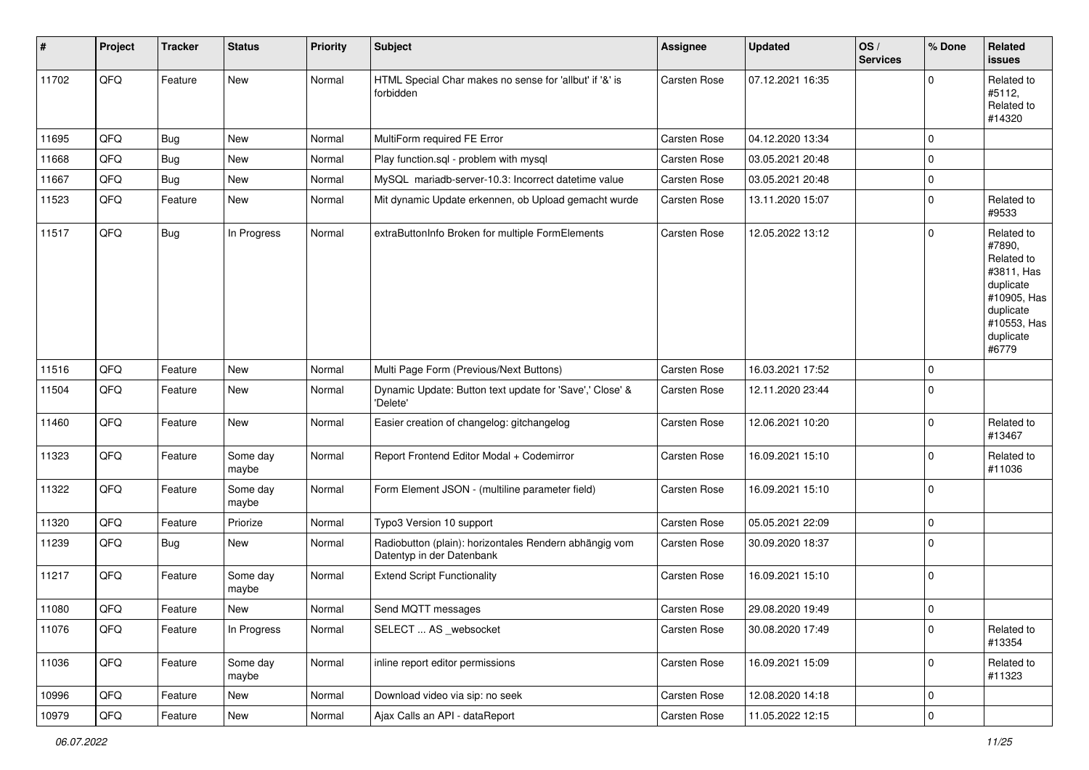| $\sharp$ | Project | <b>Tracker</b> | <b>Status</b>     | <b>Priority</b> | <b>Subject</b>                                                                      | <b>Assignee</b>     | <b>Updated</b>   | OS/<br><b>Services</b> | % Done              | Related<br><b>issues</b>                                                                                                       |
|----------|---------|----------------|-------------------|-----------------|-------------------------------------------------------------------------------------|---------------------|------------------|------------------------|---------------------|--------------------------------------------------------------------------------------------------------------------------------|
| 11702    | QFQ     | Feature        | New               | Normal          | HTML Special Char makes no sense for 'allbut' if '&' is<br>forbidden                | Carsten Rose        | 07.12.2021 16:35 |                        | $\mathbf 0$         | Related to<br>#5112,<br>Related to<br>#14320                                                                                   |
| 11695    | QFQ     | Bug            | <b>New</b>        | Normal          | MultiForm required FE Error                                                         | Carsten Rose        | 04.12.2020 13:34 |                        | $\mathbf 0$         |                                                                                                                                |
| 11668    | QFQ     | Bug            | <b>New</b>        | Normal          | Play function.sql - problem with mysql                                              | Carsten Rose        | 03.05.2021 20:48 |                        | $\mathbf 0$         |                                                                                                                                |
| 11667    | QFQ     | Bug            | New               | Normal          | MySQL mariadb-server-10.3: Incorrect datetime value                                 | Carsten Rose        | 03.05.2021 20:48 |                        | $\mathsf 0$         |                                                                                                                                |
| 11523    | QFQ     | Feature        | New               | Normal          | Mit dynamic Update erkennen, ob Upload gemacht wurde                                | Carsten Rose        | 13.11.2020 15:07 |                        | $\mathbf 0$         | Related to<br>#9533                                                                                                            |
| 11517    | QFQ     | <b>Bug</b>     | In Progress       | Normal          | extraButtonInfo Broken for multiple FormElements                                    | Carsten Rose        | 12.05.2022 13:12 |                        | $\mathbf 0$         | Related to<br>#7890,<br>Related to<br>#3811, Has<br>duplicate<br>#10905, Has<br>duplicate<br>#10553, Has<br>duplicate<br>#6779 |
| 11516    | QFQ     | Feature        | <b>New</b>        | Normal          | Multi Page Form (Previous/Next Buttons)                                             | Carsten Rose        | 16.03.2021 17:52 |                        | $\mathbf 0$         |                                                                                                                                |
| 11504    | QFQ     | Feature        | New               | Normal          | Dynamic Update: Button text update for 'Save',' Close' &<br>'Delete'                | Carsten Rose        | 12.11.2020 23:44 |                        | $\mathbf 0$         |                                                                                                                                |
| 11460    | QFQ     | Feature        | New               | Normal          | Easier creation of changelog: gitchangelog                                          | Carsten Rose        | 12.06.2021 10:20 |                        | $\mathbf 0$         | Related to<br>#13467                                                                                                           |
| 11323    | QFQ     | Feature        | Some day<br>maybe | Normal          | Report Frontend Editor Modal + Codemirror                                           | <b>Carsten Rose</b> | 16.09.2021 15:10 |                        | $\mathbf 0$         | Related to<br>#11036                                                                                                           |
| 11322    | QFQ     | Feature        | Some day<br>maybe | Normal          | Form Element JSON - (multiline parameter field)                                     | <b>Carsten Rose</b> | 16.09.2021 15:10 |                        | $\mathbf 0$         |                                                                                                                                |
| 11320    | QFQ     | Feature        | Priorize          | Normal          | Typo3 Version 10 support                                                            | Carsten Rose        | 05.05.2021 22:09 |                        | $\mathsf 0$         |                                                                                                                                |
| 11239    | QFQ     | Bug            | New               | Normal          | Radiobutton (plain): horizontales Rendern abhängig vom<br>Datentyp in der Datenbank | Carsten Rose        | 30.09.2020 18:37 |                        | $\mathbf 0$         |                                                                                                                                |
| 11217    | QFQ     | Feature        | Some day<br>maybe | Normal          | <b>Extend Script Functionality</b>                                                  | Carsten Rose        | 16.09.2021 15:10 |                        | $\mathbf 0$         |                                                                                                                                |
| 11080    | QFQ     | Feature        | <b>New</b>        | Normal          | Send MQTT messages                                                                  | Carsten Rose        | 29.08.2020 19:49 |                        | $\mathbf 0$         |                                                                                                                                |
| 11076    | QFG     | Feature        | In Progress       | Normal          | SELECT  AS _websocket                                                               | Carsten Rose        | 30.08.2020 17:49 |                        | $\mathbf 0$         | Related to<br>#13354                                                                                                           |
| 11036    | QFQ     | Feature        | Some day<br>maybe | Normal          | inline report editor permissions                                                    | Carsten Rose        | 16.09.2021 15:09 |                        | $\mathbf 0$         | Related to<br>#11323                                                                                                           |
| 10996    | QFQ     | Feature        | New               | Normal          | Download video via sip: no seek                                                     | Carsten Rose        | 12.08.2020 14:18 |                        | $\mathbf 0$         |                                                                                                                                |
| 10979    | QFQ     | Feature        | New               | Normal          | Ajax Calls an API - dataReport                                                      | Carsten Rose        | 11.05.2022 12:15 |                        | $\mathsf{O}\xspace$ |                                                                                                                                |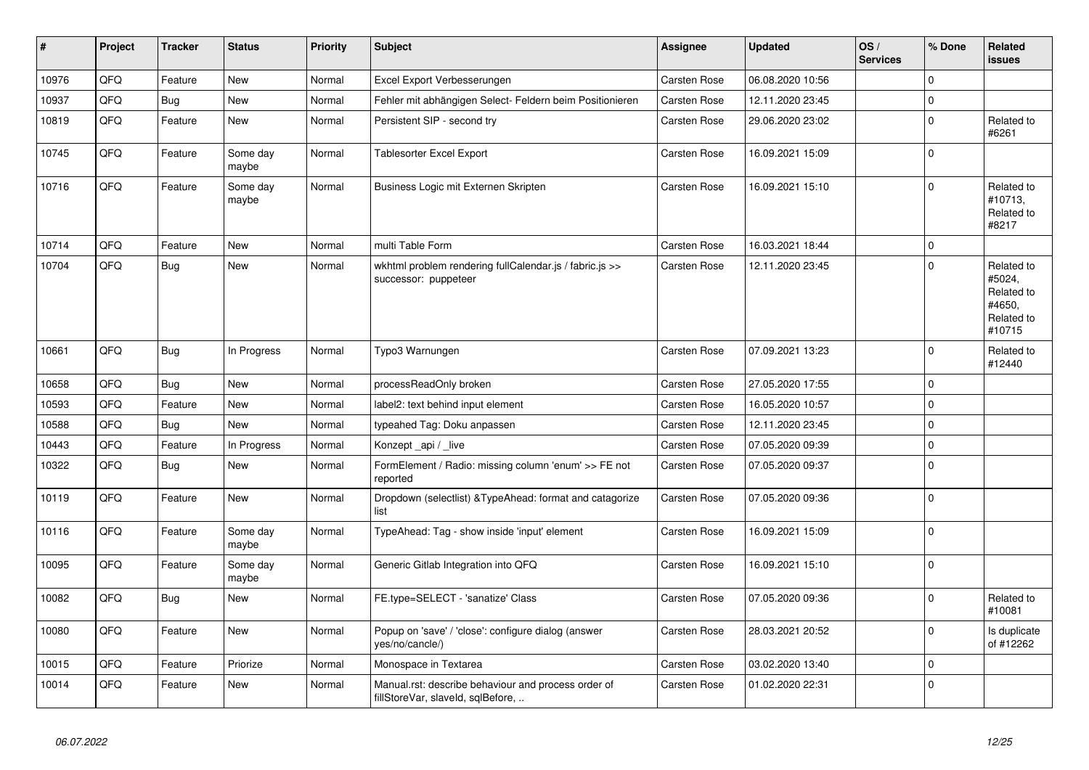| #     | Project | <b>Tracker</b> | <b>Status</b>     | <b>Priority</b> | <b>Subject</b>                                                                           | Assignee            | <b>Updated</b>   | OS/<br><b>Services</b> | % Done      | Related<br>issues                                                    |
|-------|---------|----------------|-------------------|-----------------|------------------------------------------------------------------------------------------|---------------------|------------------|------------------------|-------------|----------------------------------------------------------------------|
| 10976 | QFQ     | Feature        | <b>New</b>        | Normal          | Excel Export Verbesserungen                                                              | <b>Carsten Rose</b> | 06.08.2020 10:56 |                        | $\Omega$    |                                                                      |
| 10937 | QFQ     | <b>Bug</b>     | <b>New</b>        | Normal          | Fehler mit abhängigen Select- Feldern beim Positionieren                                 | Carsten Rose        | 12.11.2020 23:45 |                        | $\Omega$    |                                                                      |
| 10819 | QFQ     | Feature        | New               | Normal          | Persistent SIP - second try                                                              | Carsten Rose        | 29.06.2020 23:02 |                        | $\mathbf 0$ | Related to<br>#6261                                                  |
| 10745 | QFQ     | Feature        | Some day<br>maybe | Normal          | <b>Tablesorter Excel Export</b>                                                          | Carsten Rose        | 16.09.2021 15:09 |                        | $\mathbf 0$ |                                                                      |
| 10716 | QFQ     | Feature        | Some day<br>maybe | Normal          | Business Logic mit Externen Skripten                                                     | <b>Carsten Rose</b> | 16.09.2021 15:10 |                        | $\mathbf 0$ | Related to<br>#10713,<br>Related to<br>#8217                         |
| 10714 | QFQ     | Feature        | <b>New</b>        | Normal          | multi Table Form                                                                         | Carsten Rose        | 16.03.2021 18:44 |                        | $\mathbf 0$ |                                                                      |
| 10704 | QFQ     | Bug            | New               | Normal          | wkhtml problem rendering fullCalendar.js / fabric.js >><br>successor: puppeteer          | Carsten Rose        | 12.11.2020 23:45 |                        | $\Omega$    | Related to<br>#5024,<br>Related to<br>#4650,<br>Related to<br>#10715 |
| 10661 | QFQ     | Bug            | In Progress       | Normal          | Typo3 Warnungen                                                                          | <b>Carsten Rose</b> | 07.09.2021 13:23 |                        | $\mathbf 0$ | Related to<br>#12440                                                 |
| 10658 | QFQ     | Bug            | <b>New</b>        | Normal          | processReadOnly broken                                                                   | Carsten Rose        | 27.05.2020 17:55 |                        | $\Omega$    |                                                                      |
| 10593 | QFQ     | Feature        | <b>New</b>        | Normal          | label2: text behind input element                                                        | <b>Carsten Rose</b> | 16.05.2020 10:57 |                        | $\mathbf 0$ |                                                                      |
| 10588 | QFQ     | Bug            | New               | Normal          | typeahed Tag: Doku anpassen                                                              | Carsten Rose        | 12.11.2020 23:45 |                        | $\mathbf 0$ |                                                                      |
| 10443 | QFQ     | Feature        | In Progress       | Normal          | Konzept_api / _live                                                                      | Carsten Rose        | 07.05.2020 09:39 |                        | $\mathbf 0$ |                                                                      |
| 10322 | QFQ     | <b>Bug</b>     | <b>New</b>        | Normal          | FormElement / Radio: missing column 'enum' >> FE not<br>reported                         | Carsten Rose        | 07.05.2020 09:37 |                        | $\pmb{0}$   |                                                                      |
| 10119 | QFQ     | Feature        | <b>New</b>        | Normal          | Dropdown (selectlist) & TypeAhead: format and catagorize<br>list                         | Carsten Rose        | 07.05.2020 09:36 |                        | $\mathbf 0$ |                                                                      |
| 10116 | QFQ     | Feature        | Some day<br>maybe | Normal          | TypeAhead: Tag - show inside 'input' element                                             | Carsten Rose        | 16.09.2021 15:09 |                        | $\mathbf 0$ |                                                                      |
| 10095 | QFQ     | Feature        | Some day<br>maybe | Normal          | Generic Gitlab Integration into QFQ                                                      | <b>Carsten Rose</b> | 16.09.2021 15:10 |                        | $\mathbf 0$ |                                                                      |
| 10082 | QFQ     | <b>Bug</b>     | New               | Normal          | FE.type=SELECT - 'sanatize' Class                                                        | Carsten Rose        | 07.05.2020 09:36 |                        | $\mathbf 0$ | Related to<br>#10081                                                 |
| 10080 | QFQ     | Feature        | <b>New</b>        | Normal          | Popup on 'save' / 'close': configure dialog (answer<br>yes/no/cancle/)                   | Carsten Rose        | 28.03.2021 20:52 |                        | $\Omega$    | Is duplicate<br>of #12262                                            |
| 10015 | QFQ     | Feature        | Priorize          | Normal          | Monospace in Textarea                                                                    | <b>Carsten Rose</b> | 03.02.2020 13:40 |                        | $\mathbf 0$ |                                                                      |
| 10014 | QFQ     | Feature        | <b>New</b>        | Normal          | Manual.rst: describe behaviour and process order of<br>fillStoreVar, slaveId, sqlBefore, | Carsten Rose        | 01.02.2020 22:31 |                        | $\mathbf 0$ |                                                                      |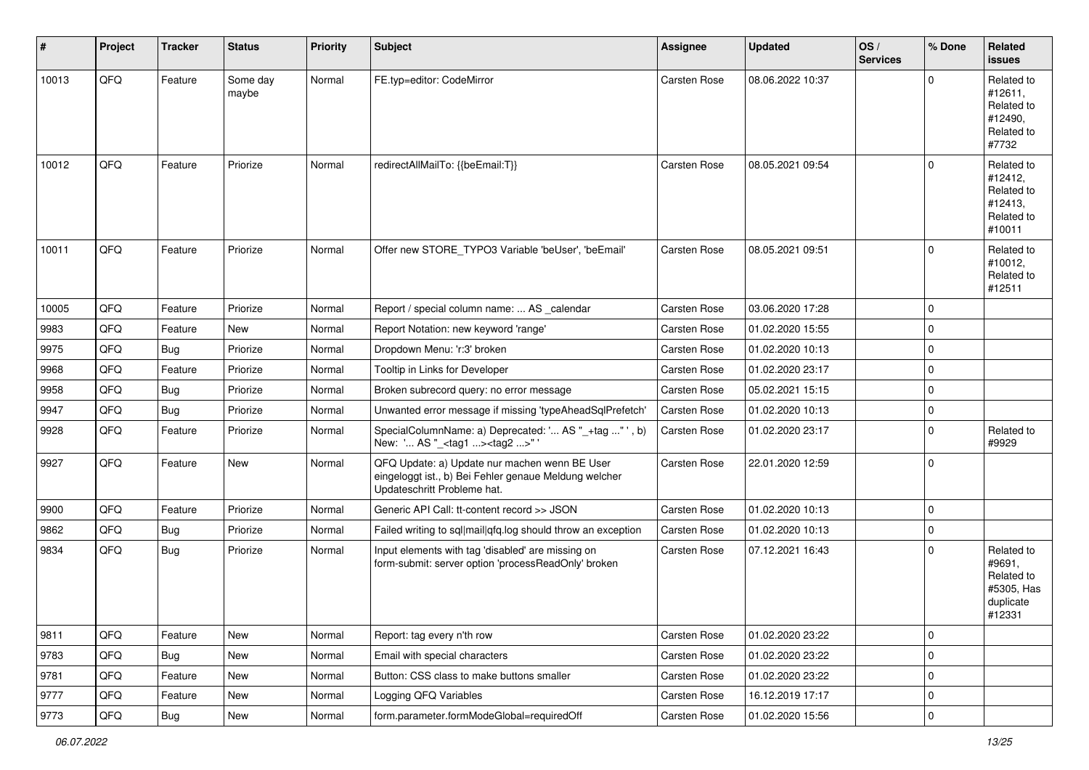| $\sharp$ | Project | <b>Tracker</b> | <b>Status</b>     | Priority | <b>Subject</b>                                                                                                                        | Assignee            | <b>Updated</b>   | OS/<br><b>Services</b> | % Done      | Related<br><b>issues</b>                                                |
|----------|---------|----------------|-------------------|----------|---------------------------------------------------------------------------------------------------------------------------------------|---------------------|------------------|------------------------|-------------|-------------------------------------------------------------------------|
| 10013    | QFQ     | Feature        | Some day<br>maybe | Normal   | FE.typ=editor: CodeMirror                                                                                                             | Carsten Rose        | 08.06.2022 10:37 |                        | $\Omega$    | Related to<br>#12611,<br>Related to<br>#12490,<br>Related to<br>#7732   |
| 10012    | QFQ     | Feature        | Priorize          | Normal   | redirectAllMailTo: {{beEmail:T}}                                                                                                      | Carsten Rose        | 08.05.2021 09:54 |                        | $\mathbf 0$ | Related to<br>#12412,<br>Related to<br>#12413.<br>Related to<br>#10011  |
| 10011    | QFQ     | Feature        | Priorize          | Normal   | Offer new STORE_TYPO3 Variable 'beUser', 'beEmail'                                                                                    | Carsten Rose        | 08.05.2021 09:51 |                        | $\Omega$    | Related to<br>#10012,<br>Related to<br>#12511                           |
| 10005    | QFQ     | Feature        | Priorize          | Normal   | Report / special column name:  AS calendar                                                                                            | Carsten Rose        | 03.06.2020 17:28 |                        | $\Omega$    |                                                                         |
| 9983     | QFQ     | Feature        | New               | Normal   | Report Notation: new keyword 'range'                                                                                                  | Carsten Rose        | 01.02.2020 15:55 |                        | $\mathbf 0$ |                                                                         |
| 9975     | QFQ     | Bug            | Priorize          | Normal   | Dropdown Menu: 'r:3' broken                                                                                                           | Carsten Rose        | 01.02.2020 10:13 |                        | 0           |                                                                         |
| 9968     | QFQ     | Feature        | Priorize          | Normal   | Tooltip in Links for Developer                                                                                                        | Carsten Rose        | 01.02.2020 23:17 |                        | $\Omega$    |                                                                         |
| 9958     | QFQ     | Bug            | Priorize          | Normal   | Broken subrecord query: no error message                                                                                              | Carsten Rose        | 05.02.2021 15:15 |                        | $\mathbf 0$ |                                                                         |
| 9947     | QFQ     | Bug            | Priorize          | Normal   | Unwanted error message if missing 'typeAheadSqlPrefetch'                                                                              | <b>Carsten Rose</b> | 01.02.2020 10:13 |                        | $\mathbf 0$ |                                                                         |
| 9928     | QFQ     | Feature        | Priorize          | Normal   | SpecialColumnName: a) Deprecated: ' AS "_+tag " ', b)<br>New: ' AS "_ <tag1><tag2>" '</tag2></tag1>                                   | Carsten Rose        | 01.02.2020 23:17 |                        | $\mathbf 0$ | Related to<br>#9929                                                     |
| 9927     | QFQ     | Feature        | New               | Normal   | QFQ Update: a) Update nur machen wenn BE User<br>eingeloggt ist., b) Bei Fehler genaue Meldung welcher<br>Updateschritt Probleme hat. | Carsten Rose        | 22.01.2020 12:59 |                        | $\mathbf 0$ |                                                                         |
| 9900     | QFQ     | Feature        | Priorize          | Normal   | Generic API Call: tt-content record >> JSON                                                                                           | Carsten Rose        | 01.02.2020 10:13 |                        | $\Omega$    |                                                                         |
| 9862     | QFQ     | Bug            | Priorize          | Normal   | Failed writing to sql mail qfq.log should throw an exception                                                                          | <b>Carsten Rose</b> | 01.02.2020 10:13 |                        | $\mathbf 0$ |                                                                         |
| 9834     | QFQ     | Bug            | Priorize          | Normal   | Input elements with tag 'disabled' are missing on<br>form-submit: server option 'processReadOnly' broken                              | <b>Carsten Rose</b> | 07.12.2021 16:43 |                        | $\Omega$    | Related to<br>#9691,<br>Related to<br>#5305, Has<br>duplicate<br>#12331 |
| 9811     | QFQ     | Feature        | New               | Normal   | Report: tag every n'th row                                                                                                            | Carsten Rose        | 01.02.2020 23:22 |                        | $\mathbf 0$ |                                                                         |
| 9783     | QFG     | <b>Bug</b>     | New               | Normal   | Email with special characters                                                                                                         | Carsten Rose        | 01.02.2020 23:22 |                        | $\mathbf 0$ |                                                                         |
| 9781     | QFQ     | Feature        | <b>New</b>        | Normal   | Button: CSS class to make buttons smaller                                                                                             | Carsten Rose        | 01.02.2020 23:22 |                        | 0           |                                                                         |
| 9777     | QFQ     | Feature        | New               | Normal   | Logging QFQ Variables                                                                                                                 | Carsten Rose        | 16.12.2019 17:17 |                        | 0           |                                                                         |
| 9773     | QFQ     | <b>Bug</b>     | New               | Normal   | form.parameter.formModeGlobal=requiredOff                                                                                             | Carsten Rose        | 01.02.2020 15:56 |                        | $\mathbf 0$ |                                                                         |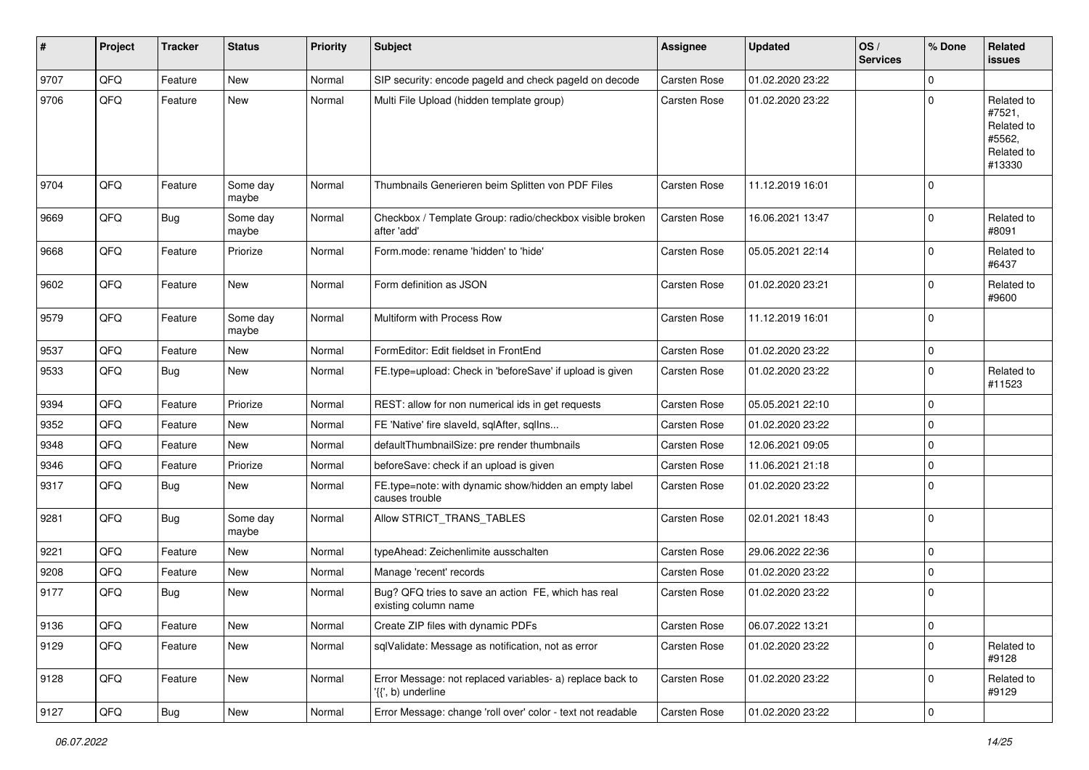| #    | Project | <b>Tracker</b> | <b>Status</b>     | <b>Priority</b> | <b>Subject</b>                                                                              | Assignee            | <b>Updated</b>   | OS/<br><b>Services</b> | % Done      | Related<br><b>issues</b>                                             |
|------|---------|----------------|-------------------|-----------------|---------------------------------------------------------------------------------------------|---------------------|------------------|------------------------|-------------|----------------------------------------------------------------------|
| 9707 | QFQ     | Feature        | <b>New</b>        | Normal          | SIP security: encode pageId and check pageId on decode                                      | Carsten Rose        | 01.02.2020 23:22 |                        | $\mathbf 0$ |                                                                      |
| 9706 | QFQ     | Feature        | New               | Normal          | Multi File Upload (hidden template group)                                                   | <b>Carsten Rose</b> | 01.02.2020 23:22 |                        | $\mathbf 0$ | Related to<br>#7521,<br>Related to<br>#5562.<br>Related to<br>#13330 |
| 9704 | QFQ     | Feature        | Some day<br>maybe | Normal          | Thumbnails Generieren beim Splitten von PDF Files                                           | Carsten Rose        | 11.12.2019 16:01 |                        | $\mathbf 0$ |                                                                      |
| 9669 | QFQ     | Bug            | Some day<br>maybe | Normal          | Checkbox / Template Group: radio/checkbox visible broken<br>after 'add'                     | Carsten Rose        | 16.06.2021 13:47 |                        | $\mathbf 0$ | Related to<br>#8091                                                  |
| 9668 | QFQ     | Feature        | Priorize          | Normal          | Form.mode: rename 'hidden' to 'hide'                                                        | Carsten Rose        | 05.05.2021 22:14 |                        | $\mathbf 0$ | Related to<br>#6437                                                  |
| 9602 | QFQ     | Feature        | New               | Normal          | Form definition as JSON                                                                     | Carsten Rose        | 01.02.2020 23:21 |                        | $\mathbf 0$ | Related to<br>#9600                                                  |
| 9579 | QFQ     | Feature        | Some day<br>maybe | Normal          | Multiform with Process Row                                                                  | Carsten Rose        | 11.12.2019 16:01 |                        | $\mathbf 0$ |                                                                      |
| 9537 | QFQ     | Feature        | New               | Normal          | FormEditor: Edit fieldset in FrontEnd                                                       | Carsten Rose        | 01.02.2020 23:22 |                        | $\mathsf 0$ |                                                                      |
| 9533 | QFQ     | Bug            | New               | Normal          | FE.type=upload: Check in 'beforeSave' if upload is given                                    | <b>Carsten Rose</b> | 01.02.2020 23:22 |                        | 0           | Related to<br>#11523                                                 |
| 9394 | QFQ     | Feature        | Priorize          | Normal          | REST: allow for non numerical ids in get requests                                           | Carsten Rose        | 05.05.2021 22:10 |                        | $\mathbf 0$ |                                                                      |
| 9352 | QFQ     | Feature        | New               | Normal          | FE 'Native' fire slaveld, sqlAfter, sqlIns                                                  | Carsten Rose        | 01.02.2020 23:22 |                        | $\mathbf 0$ |                                                                      |
| 9348 | QFQ     | Feature        | New               | Normal          | defaultThumbnailSize: pre render thumbnails                                                 | Carsten Rose        | 12.06.2021 09:05 |                        | $\mathbf 0$ |                                                                      |
| 9346 | QFQ     | Feature        | Priorize          | Normal          | beforeSave: check if an upload is given                                                     | Carsten Rose        | 11.06.2021 21:18 |                        | $\mathbf 0$ |                                                                      |
| 9317 | QFQ     | Bug            | New               | Normal          | FE.type=note: with dynamic show/hidden an empty label<br>causes trouble                     | Carsten Rose        | 01.02.2020 23:22 |                        | $\mathbf 0$ |                                                                      |
| 9281 | QFG     | Bug            | Some day<br>maybe | Normal          | Allow STRICT TRANS TABLES                                                                   | <b>Carsten Rose</b> | 02.01.2021 18:43 |                        | $\mathbf 0$ |                                                                      |
| 9221 | QFQ     | Feature        | New               | Normal          | typeAhead: Zeichenlimite ausschalten                                                        | Carsten Rose        | 29.06.2022 22:36 |                        | $\mathbf 0$ |                                                                      |
| 9208 | QFQ     | Feature        | New               | Normal          | Manage 'recent' records                                                                     | Carsten Rose        | 01.02.2020 23:22 |                        | $\mathbf 0$ |                                                                      |
| 9177 | QFQ     | Bug            | New               | Normal          | Bug? QFQ tries to save an action FE, which has real<br>existing column name                 | <b>Carsten Rose</b> | 01.02.2020 23:22 |                        | $\mathbf 0$ |                                                                      |
| 9136 | QFG     | Feature        | New               | Normal          | Create ZIP files with dynamic PDFs                                                          | Carsten Rose        | 06.07.2022 13:21 |                        | $\pmb{0}$   |                                                                      |
| 9129 | QFQ     | Feature        | New               | Normal          | sqlValidate: Message as notification, not as error                                          | Carsten Rose        | 01.02.2020 23:22 |                        | $\mathbf 0$ | Related to<br>#9128                                                  |
| 9128 | QFQ     | Feature        | New               | Normal          | Error Message: not replaced variables- a) replace back to<br>$\langle \{ \}$ , b) underline | Carsten Rose        | 01.02.2020 23:22 |                        | $\mathbf 0$ | Related to<br>#9129                                                  |
| 9127 | QFG     | <b>Bug</b>     | New               | Normal          | Error Message: change 'roll over' color - text not readable                                 | Carsten Rose        | 01.02.2020 23:22 |                        | $\pmb{0}$   |                                                                      |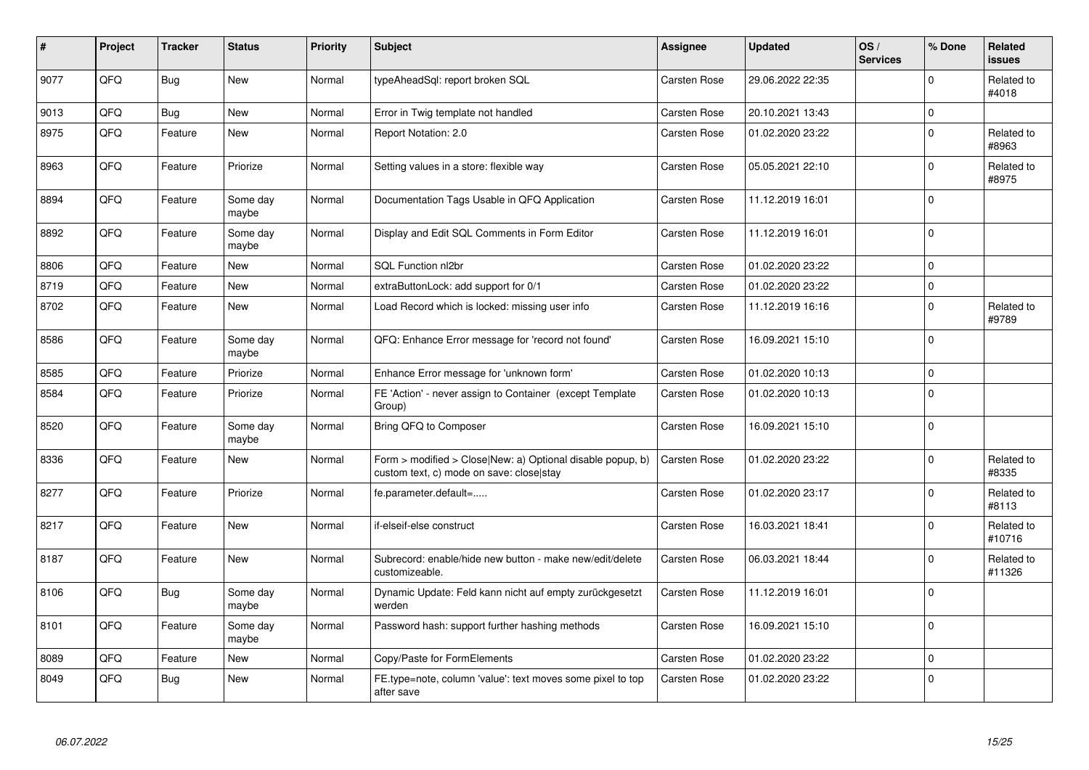| #    | Project | <b>Tracker</b> | <b>Status</b>     | <b>Priority</b> | <b>Subject</b>                                                                                         | Assignee            | <b>Updated</b>   | OS/<br><b>Services</b> | % Done      | Related<br><b>issues</b> |
|------|---------|----------------|-------------------|-----------------|--------------------------------------------------------------------------------------------------------|---------------------|------------------|------------------------|-------------|--------------------------|
| 9077 | QFQ     | <b>Bug</b>     | <b>New</b>        | Normal          | typeAheadSql: report broken SQL                                                                        | <b>Carsten Rose</b> | 29.06.2022 22:35 |                        | $\Omega$    | Related to<br>#4018      |
| 9013 | QFQ     | <b>Bug</b>     | <b>New</b>        | Normal          | Error in Twig template not handled                                                                     | Carsten Rose        | 20.10.2021 13:43 |                        | $\Omega$    |                          |
| 8975 | QFQ     | Feature        | <b>New</b>        | Normal          | Report Notation: 2.0                                                                                   | <b>Carsten Rose</b> | 01.02.2020 23:22 |                        | $\Omega$    | Related to<br>#8963      |
| 8963 | QFQ     | Feature        | Priorize          | Normal          | Setting values in a store: flexible way                                                                | Carsten Rose        | 05.05.2021 22:10 |                        | $\mathbf 0$ | Related to<br>#8975      |
| 8894 | QFQ     | Feature        | Some day<br>maybe | Normal          | Documentation Tags Usable in QFQ Application                                                           | Carsten Rose        | 11.12.2019 16:01 |                        | $\Omega$    |                          |
| 8892 | QFQ     | Feature        | Some day<br>maybe | Normal          | Display and Edit SQL Comments in Form Editor                                                           | <b>Carsten Rose</b> | 11.12.2019 16:01 |                        | $\Omega$    |                          |
| 8806 | QFQ     | Feature        | <b>New</b>        | Normal          | SQL Function nl2br                                                                                     | Carsten Rose        | 01.02.2020 23:22 |                        | $\Omega$    |                          |
| 8719 | QFQ     | Feature        | <b>New</b>        | Normal          | extraButtonLock: add support for 0/1                                                                   | <b>Carsten Rose</b> | 01.02.2020 23:22 |                        | $\Omega$    |                          |
| 8702 | QFQ     | Feature        | New               | Normal          | Load Record which is locked: missing user info                                                         | Carsten Rose        | 11.12.2019 16:16 |                        | $\Omega$    | Related to<br>#9789      |
| 8586 | QFQ     | Feature        | Some day<br>maybe | Normal          | QFQ: Enhance Error message for 'record not found'                                                      | Carsten Rose        | 16.09.2021 15:10 |                        | $\Omega$    |                          |
| 8585 | QFQ     | Feature        | Priorize          | Normal          | Enhance Error message for 'unknown form'                                                               | Carsten Rose        | 01.02.2020 10:13 |                        | $\mathbf 0$ |                          |
| 8584 | QFQ     | Feature        | Priorize          | Normal          | FE 'Action' - never assign to Container (except Template)<br>Group)                                    | <b>Carsten Rose</b> | 01.02.2020 10:13 |                        | $\Omega$    |                          |
| 8520 | QFQ     | Feature        | Some day<br>maybe | Normal          | Bring QFQ to Composer                                                                                  | Carsten Rose        | 16.09.2021 15:10 |                        | $\Omega$    |                          |
| 8336 | QFQ     | Feature        | <b>New</b>        | Normal          | Form > modified > Close New: a) Optional disable popup, b)<br>custom text, c) mode on save: close stay | <b>Carsten Rose</b> | 01.02.2020 23:22 |                        | $\Omega$    | Related to<br>#8335      |
| 8277 | QFQ     | Feature        | Priorize          | Normal          | fe.parameter.default=                                                                                  | Carsten Rose        | 01.02.2020 23:17 |                        | $\Omega$    | Related to<br>#8113      |
| 8217 | QFQ     | Feature        | <b>New</b>        | Normal          | if-elseif-else construct                                                                               | <b>Carsten Rose</b> | 16.03.2021 18:41 |                        | $\Omega$    | Related to<br>#10716     |
| 8187 | QFQ     | Feature        | New               | Normal          | Subrecord: enable/hide new button - make new/edit/delete<br>customizeable.                             | Carsten Rose        | 06.03.2021 18:44 |                        | $\Omega$    | Related to<br>#11326     |
| 8106 | QFQ     | <b>Bug</b>     | Some day<br>maybe | Normal          | Dynamic Update: Feld kann nicht auf empty zurückgesetzt<br>werden                                      | Carsten Rose        | 11.12.2019 16:01 |                        | $\Omega$    |                          |
| 8101 | QFQ     | Feature        | Some day<br>maybe | Normal          | Password hash: support further hashing methods                                                         | Carsten Rose        | 16.09.2021 15:10 |                        | $\Omega$    |                          |
| 8089 | QFQ     | Feature        | New               | Normal          | Copy/Paste for FormElements                                                                            | Carsten Rose        | 01.02.2020 23:22 |                        | $\mathbf 0$ |                          |
| 8049 | QFQ     | Bug            | New               | Normal          | FE.type=note, column 'value': text moves some pixel to top<br>after save                               | <b>Carsten Rose</b> | 01.02.2020 23:22 |                        | $\Omega$    |                          |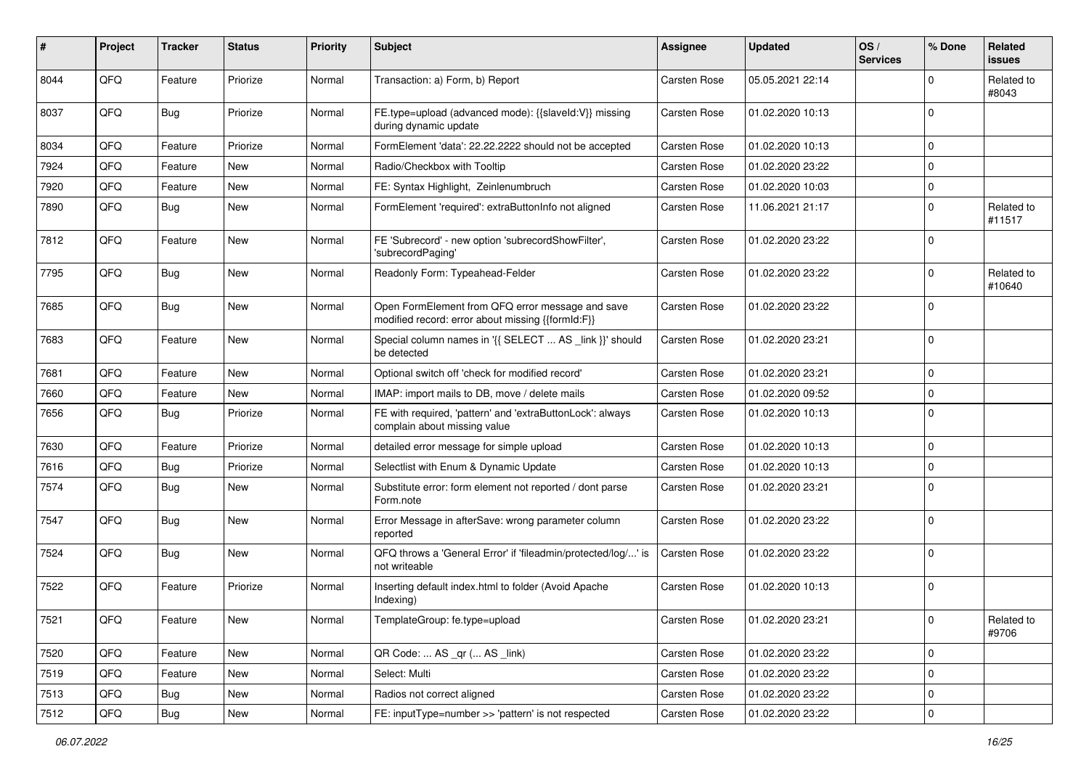| ∦    | Project | <b>Tracker</b> | <b>Status</b> | <b>Priority</b> | <b>Subject</b>                                                                                        | Assignee            | <b>Updated</b>   | OS/<br><b>Services</b> | % Done              | Related<br>issues    |
|------|---------|----------------|---------------|-----------------|-------------------------------------------------------------------------------------------------------|---------------------|------------------|------------------------|---------------------|----------------------|
| 8044 | QFQ     | Feature        | Priorize      | Normal          | Transaction: a) Form, b) Report                                                                       | Carsten Rose        | 05.05.2021 22:14 |                        | 0                   | Related to<br>#8043  |
| 8037 | QFQ     | Bug            | Priorize      | Normal          | FE.type=upload (advanced mode): {{slaveId:V}} missing<br>during dynamic update                        | <b>Carsten Rose</b> | 01.02.2020 10:13 |                        | $\mathbf 0$         |                      |
| 8034 | QFQ     | Feature        | Priorize      | Normal          | FormElement 'data': 22.22.2222 should not be accepted                                                 | Carsten Rose        | 01.02.2020 10:13 |                        | $\mathbf 0$         |                      |
| 7924 | QFQ     | Feature        | <b>New</b>    | Normal          | Radio/Checkbox with Tooltip                                                                           | <b>Carsten Rose</b> | 01.02.2020 23:22 |                        | $\mathbf 0$         |                      |
| 7920 | QFQ     | Feature        | New           | Normal          | FE: Syntax Highlight, Zeinlenumbruch                                                                  | Carsten Rose        | 01.02.2020 10:03 |                        | 0                   |                      |
| 7890 | QFQ     | Bug            | <b>New</b>    | Normal          | FormElement 'required': extraButtonInfo not aligned                                                   | <b>Carsten Rose</b> | 11.06.2021 21:17 |                        | $\mathbf 0$         | Related to<br>#11517 |
| 7812 | QFQ     | Feature        | New           | Normal          | FE 'Subrecord' - new option 'subrecordShowFilter',<br>'subrecordPaging'                               | <b>Carsten Rose</b> | 01.02.2020 23:22 |                        | $\mathbf 0$         |                      |
| 7795 | QFQ     | Bug            | New           | Normal          | Readonly Form: Typeahead-Felder                                                                       | Carsten Rose        | 01.02.2020 23:22 |                        | $\mathbf 0$         | Related to<br>#10640 |
| 7685 | QFQ     | Bug            | <b>New</b>    | Normal          | Open FormElement from QFQ error message and save<br>modified record: error about missing {{formId:F}} | Carsten Rose        | 01.02.2020 23:22 |                        | $\mathbf 0$         |                      |
| 7683 | QFQ     | Feature        | New           | Normal          | Special column names in '{{ SELECT  AS _link }}' should<br>be detected                                | Carsten Rose        | 01.02.2020 23:21 |                        | $\mathbf 0$         |                      |
| 7681 | QFQ     | Feature        | New           | Normal          | Optional switch off 'check for modified record'                                                       | Carsten Rose        | 01.02.2020 23:21 |                        | $\mathbf 0$         |                      |
| 7660 | QFQ     | Feature        | New           | Normal          | IMAP: import mails to DB, move / delete mails                                                         | <b>Carsten Rose</b> | 01.02.2020 09:52 |                        | $\mathbf 0$         |                      |
| 7656 | QFQ     | <b>Bug</b>     | Priorize      | Normal          | FE with required, 'pattern' and 'extraButtonLock': always<br>complain about missing value             | Carsten Rose        | 01.02.2020 10:13 |                        | $\mathbf 0$         |                      |
| 7630 | QFQ     | Feature        | Priorize      | Normal          | detailed error message for simple upload                                                              | Carsten Rose        | 01.02.2020 10:13 |                        | $\mathbf 0$         |                      |
| 7616 | QFQ     | Bug            | Priorize      | Normal          | Selectlist with Enum & Dynamic Update                                                                 | Carsten Rose        | 01.02.2020 10:13 |                        | $\mathbf 0$         |                      |
| 7574 | QFQ     | Bug            | New           | Normal          | Substitute error: form element not reported / dont parse<br>Form.note                                 | Carsten Rose        | 01.02.2020 23:21 |                        | $\mathbf 0$         |                      |
| 7547 | QFQ     | Bug            | New           | Normal          | Error Message in afterSave: wrong parameter column<br>reported                                        | <b>Carsten Rose</b> | 01.02.2020 23:22 |                        | $\mathbf 0$         |                      |
| 7524 | QFQ     | Bug            | <b>New</b>    | Normal          | QFQ throws a 'General Error' if 'fileadmin/protected/log/' is<br>not writeable                        | Carsten Rose        | 01.02.2020 23:22 |                        | $\mathbf 0$         |                      |
| 7522 | QFQ     | Feature        | Priorize      | Normal          | Inserting default index.html to folder (Avoid Apache<br>Indexing)                                     | Carsten Rose        | 01.02.2020 10:13 |                        | $\mathbf 0$         |                      |
| 7521 | QFQ     | Feature        | New           | Normal          | TemplateGroup: fe.type=upload                                                                         | Carsten Rose        | 01.02.2020 23:21 |                        | 0                   | Related to<br>#9706  |
| 7520 | QFQ     | Feature        | New           | Normal          | QR Code:  AS _qr ( AS _link)                                                                          | Carsten Rose        | 01.02.2020 23:22 |                        | $\mathbf 0$         |                      |
| 7519 | QFQ     | Feature        | New           | Normal          | Select: Multi                                                                                         | Carsten Rose        | 01.02.2020 23:22 |                        | 0                   |                      |
| 7513 | QFQ     | Bug            | New           | Normal          | Radios not correct aligned                                                                            | Carsten Rose        | 01.02.2020 23:22 |                        | 0                   |                      |
| 7512 | QFG     | Bug            | New           | Normal          | FE: inputType=number >> 'pattern' is not respected                                                    | Carsten Rose        | 01.02.2020 23:22 |                        | $\mathsf{O}\xspace$ |                      |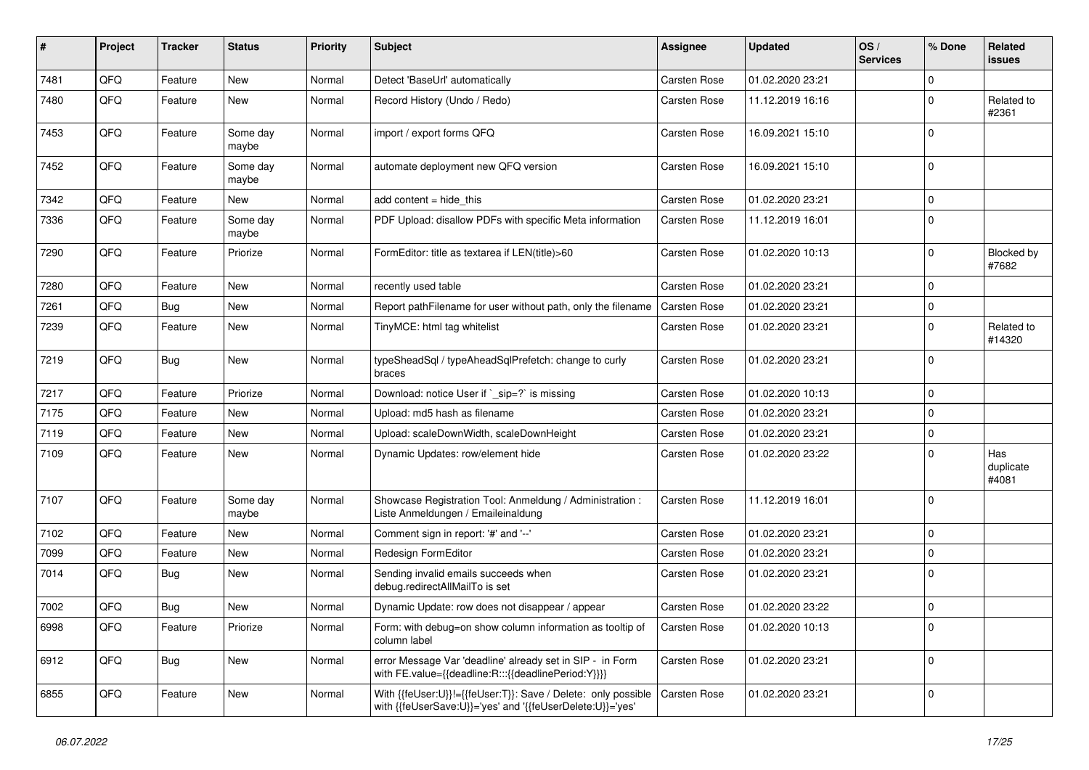| #    | Project | <b>Tracker</b> | <b>Status</b>     | <b>Priority</b> | Subject                                                                                                                    | <b>Assignee</b>     | <b>Updated</b>   | OS/<br><b>Services</b> | % Done      | Related<br>issues         |
|------|---------|----------------|-------------------|-----------------|----------------------------------------------------------------------------------------------------------------------------|---------------------|------------------|------------------------|-------------|---------------------------|
| 7481 | QFQ     | Feature        | New               | Normal          | Detect 'BaseUrl' automatically                                                                                             | Carsten Rose        | 01.02.2020 23:21 |                        | $\Omega$    |                           |
| 7480 | QFQ     | Feature        | New               | Normal          | Record History (Undo / Redo)                                                                                               | <b>Carsten Rose</b> | 11.12.2019 16:16 |                        | 0           | Related to<br>#2361       |
| 7453 | QFQ     | Feature        | Some day<br>maybe | Normal          | import / export forms QFQ                                                                                                  | Carsten Rose        | 16.09.2021 15:10 |                        | $\Omega$    |                           |
| 7452 | QFQ     | Feature        | Some day<br>maybe | Normal          | automate deployment new QFQ version                                                                                        | <b>Carsten Rose</b> | 16.09.2021 15:10 |                        | $\Omega$    |                           |
| 7342 | QFQ     | Feature        | <b>New</b>        | Normal          | add content = hide this                                                                                                    | Carsten Rose        | 01.02.2020 23:21 |                        | $\Omega$    |                           |
| 7336 | QFQ     | Feature        | Some day<br>maybe | Normal          | PDF Upload: disallow PDFs with specific Meta information                                                                   | <b>Carsten Rose</b> | 11.12.2019 16:01 |                        | 0           |                           |
| 7290 | QFQ     | Feature        | Priorize          | Normal          | FormEditor: title as textarea if LEN(title)>60                                                                             | <b>Carsten Rose</b> | 01.02.2020 10:13 |                        | $\Omega$    | Blocked by<br>#7682       |
| 7280 | QFQ     | Feature        | New               | Normal          | recently used table                                                                                                        | <b>Carsten Rose</b> | 01.02.2020 23:21 |                        | 0           |                           |
| 7261 | QFQ     | Bug            | New               | Normal          | Report pathFilename for user without path, only the filename                                                               | <b>Carsten Rose</b> | 01.02.2020 23:21 |                        | $\mathbf 0$ |                           |
| 7239 | QFQ     | Feature        | New               | Normal          | TinyMCE: html tag whitelist                                                                                                | <b>Carsten Rose</b> | 01.02.2020 23:21 |                        | 0           | Related to<br>#14320      |
| 7219 | QFQ     | Bug            | New               | Normal          | typeSheadSql / typeAheadSqlPrefetch: change to curly<br>braces                                                             | <b>Carsten Rose</b> | 01.02.2020 23:21 |                        | $\Omega$    |                           |
| 7217 | QFQ     | Feature        | Priorize          | Normal          | Download: notice User if `_sip=?` is missing                                                                               | <b>Carsten Rose</b> | 01.02.2020 10:13 |                        | $\Omega$    |                           |
| 7175 | QFQ     | Feature        | New               | Normal          | Upload: md5 hash as filename                                                                                               | <b>Carsten Rose</b> | 01.02.2020 23:21 |                        | 0           |                           |
| 7119 | QFQ     | Feature        | New               | Normal          | Upload: scaleDownWidth, scaleDownHeight                                                                                    | <b>Carsten Rose</b> | 01.02.2020 23:21 |                        | 0           |                           |
| 7109 | QFQ     | Feature        | <b>New</b>        | Normal          | Dynamic Updates: row/element hide                                                                                          | <b>Carsten Rose</b> | 01.02.2020 23:22 |                        | $\Omega$    | Has<br>duplicate<br>#4081 |
| 7107 | QFQ     | Feature        | Some day<br>maybe | Normal          | Showcase Registration Tool: Anmeldung / Administration :<br>Liste Anmeldungen / Emaileinaldung                             | <b>Carsten Rose</b> | 11.12.2019 16:01 |                        | 0           |                           |
| 7102 | QFQ     | Feature        | New               | Normal          | Comment sign in report: '#' and '--'                                                                                       | <b>Carsten Rose</b> | 01.02.2020 23:21 |                        | $\Omega$    |                           |
| 7099 | QFQ     | Feature        | New               | Normal          | Redesign FormEditor                                                                                                        | <b>Carsten Rose</b> | 01.02.2020 23:21 |                        | 0           |                           |
| 7014 | QFQ     | Bug            | New               | Normal          | Sending invalid emails succeeds when<br>debug.redirectAllMailTo is set                                                     | Carsten Rose        | 01.02.2020 23:21 |                        | 0           |                           |
| 7002 | QFQ     | <b>Bug</b>     | <b>New</b>        | Normal          | Dynamic Update: row does not disappear / appear                                                                            | Carsten Rose        | 01.02.2020 23:22 |                        | $\Omega$    |                           |
| 6998 | QFQ     | Feature        | Priorize          | Normal          | Form: with debug=on show column information as tooltip of<br>column label                                                  | Carsten Rose        | 01.02.2020 10:13 |                        | 0           |                           |
| 6912 | QFQ     | <b>Bug</b>     | New               | Normal          | error Message Var 'deadline' already set in SIP - in Form<br>with FE.value={{deadline:R:::{{deadlinePeriod:Y}}}}           | Carsten Rose        | 01.02.2020 23:21 |                        | 0           |                           |
| 6855 | QFQ     | Feature        | New               | Normal          | With {{feUser:U}}!={{feUser:T}}: Save / Delete: only possible<br>with {{feUserSave:U}}='yes' and '{{feUserDelete:U}}='yes' | <b>Carsten Rose</b> | 01.02.2020 23:21 |                        | 0           |                           |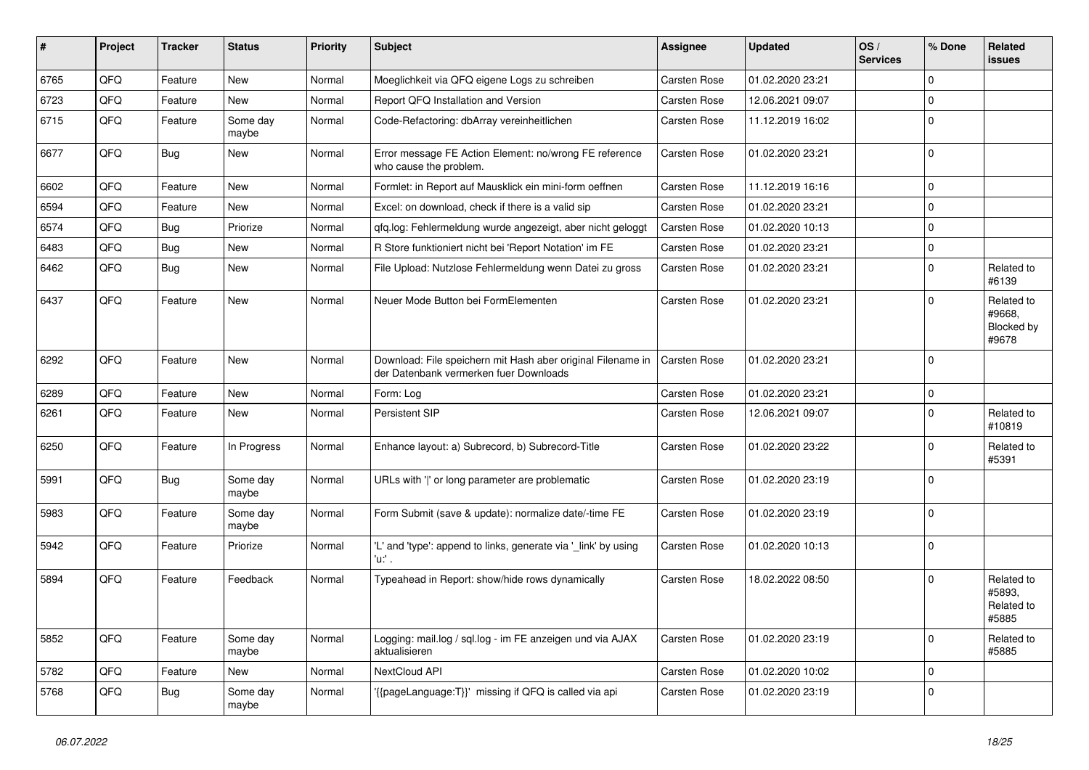| ∦    | Project | <b>Tracker</b> | <b>Status</b>     | <b>Priority</b> | Subject                                                                                               | <b>Assignee</b>     | <b>Updated</b>   | OS/<br><b>Services</b> | % Done      | Related<br>issues                           |
|------|---------|----------------|-------------------|-----------------|-------------------------------------------------------------------------------------------------------|---------------------|------------------|------------------------|-------------|---------------------------------------------|
| 6765 | QFQ     | Feature        | <b>New</b>        | Normal          | Moeglichkeit via QFQ eigene Logs zu schreiben                                                         | Carsten Rose        | 01.02.2020 23:21 |                        | 0           |                                             |
| 6723 | QFQ     | Feature        | <b>New</b>        | Normal          | Report QFQ Installation and Version                                                                   | <b>Carsten Rose</b> | 12.06.2021 09:07 |                        | $\Omega$    |                                             |
| 6715 | QFQ     | Feature        | Some day<br>maybe | Normal          | Code-Refactoring: dbArray vereinheitlichen                                                            | <b>Carsten Rose</b> | 11.12.2019 16:02 |                        | $\Omega$    |                                             |
| 6677 | QFQ     | <b>Bug</b>     | New               | Normal          | Error message FE Action Element: no/wrong FE reference<br>who cause the problem.                      | <b>Carsten Rose</b> | 01.02.2020 23:21 |                        | $\Omega$    |                                             |
| 6602 | QFQ     | Feature        | New               | Normal          | Formlet: in Report auf Mausklick ein mini-form oeffnen                                                | <b>Carsten Rose</b> | 11.12.2019 16:16 |                        | $\mathbf 0$ |                                             |
| 6594 | QFQ     | Feature        | New               | Normal          | Excel: on download, check if there is a valid sip                                                     | <b>Carsten Rose</b> | 01.02.2020 23:21 |                        | $\Omega$    |                                             |
| 6574 | QFQ     | Bug            | Priorize          | Normal          | qfq.log: Fehlermeldung wurde angezeigt, aber nicht geloggt                                            | <b>Carsten Rose</b> | 01.02.2020 10:13 |                        | $\Omega$    |                                             |
| 6483 | QFQ     | Bug            | <b>New</b>        | Normal          | R Store funktioniert nicht bei 'Report Notation' im FE                                                | <b>Carsten Rose</b> | 01.02.2020 23:21 |                        | $\Omega$    |                                             |
| 6462 | QFQ     | Bug            | <b>New</b>        | Normal          | File Upload: Nutzlose Fehlermeldung wenn Datei zu gross                                               | <b>Carsten Rose</b> | 01.02.2020 23:21 |                        | $\Omega$    | Related to<br>#6139                         |
| 6437 | QFQ     | Feature        | New               | Normal          | Neuer Mode Button bei FormElementen                                                                   | Carsten Rose        | 01.02.2020 23:21 |                        | 0           | Related to<br>#9668,<br>Blocked by<br>#9678 |
| 6292 | QFQ     | Feature        | <b>New</b>        | Normal          | Download: File speichern mit Hash aber original Filename in<br>der Datenbank vermerken fuer Downloads | Carsten Rose        | 01.02.2020 23:21 |                        | $\Omega$    |                                             |
| 6289 | QFQ     | Feature        | <b>New</b>        | Normal          | Form: Log                                                                                             | <b>Carsten Rose</b> | 01.02.2020 23:21 |                        | $\Omega$    |                                             |
| 6261 | QFQ     | Feature        | New               | Normal          | Persistent SIP                                                                                        | <b>Carsten Rose</b> | 12.06.2021 09:07 |                        | $\Omega$    | Related to<br>#10819                        |
| 6250 | QFQ     | Feature        | In Progress       | Normal          | Enhance layout: a) Subrecord, b) Subrecord-Title                                                      | <b>Carsten Rose</b> | 01.02.2020 23:22 |                        | $\Omega$    | Related to<br>#5391                         |
| 5991 | QFQ     | Bug            | Some day<br>maybe | Normal          | URLs with ' ' or long parameter are problematic                                                       | <b>Carsten Rose</b> | 01.02.2020 23:19 |                        | $\Omega$    |                                             |
| 5983 | QFQ     | Feature        | Some day<br>maybe | Normal          | Form Submit (save & update): normalize date/-time FE                                                  | <b>Carsten Rose</b> | 01.02.2020 23:19 |                        | $\mathbf 0$ |                                             |
| 5942 | QFQ     | Feature        | Priorize          | Normal          | 'L' and 'type': append to links, generate via '_link' by using<br>$'u$ .                              | <b>Carsten Rose</b> | 01.02.2020 10:13 |                        | $\Omega$    |                                             |
| 5894 | QFQ     | Feature        | Feedback          | Normal          | Typeahead in Report: show/hide rows dynamically                                                       | <b>Carsten Rose</b> | 18.02.2022 08:50 |                        | $\Omega$    | Related to<br>#5893.<br>Related to<br>#5885 |
| 5852 | QFQ     | Feature        | Some day<br>maybe | Normal          | Logging: mail.log / sql.log - im FE anzeigen und via AJAX<br>aktualisieren                            | <b>Carsten Rose</b> | 01.02.2020 23:19 |                        | $\mathbf 0$ | Related to<br>#5885                         |
| 5782 | QFQ     | Feature        | New               | Normal          | NextCloud API                                                                                         | Carsten Rose        | 01.02.2020 10:02 |                        | $\mathbf 0$ |                                             |
| 5768 | QFQ     | <b>Bug</b>     | Some day<br>maybe | Normal          | '{{pageLanguage:T}}' missing if QFQ is called via api                                                 | Carsten Rose        | 01.02.2020 23:19 |                        | $\mathbf 0$ |                                             |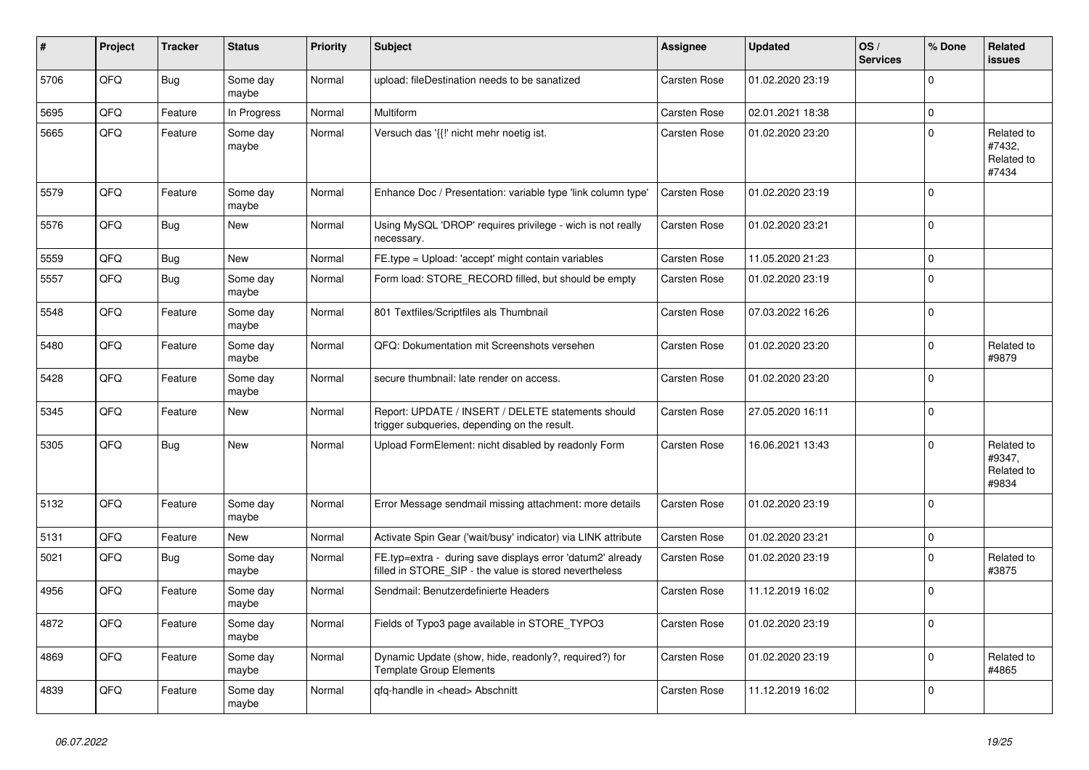| ∦    | Project    | <b>Tracker</b> | <b>Status</b>     | <b>Priority</b> | <b>Subject</b>                                                                                                       | <b>Assignee</b>     | <b>Updated</b>   | OS/<br><b>Services</b> | % Done      | <b>Related</b><br><b>issues</b>             |
|------|------------|----------------|-------------------|-----------------|----------------------------------------------------------------------------------------------------------------------|---------------------|------------------|------------------------|-------------|---------------------------------------------|
| 5706 | QFQ        | <b>Bug</b>     | Some day<br>maybe | Normal          | upload: fileDestination needs to be sanatized                                                                        | <b>Carsten Rose</b> | 01.02.2020 23:19 |                        | $\Omega$    |                                             |
| 5695 | QFQ        | Feature        | In Progress       | Normal          | Multiform                                                                                                            | <b>Carsten Rose</b> | 02.01.2021 18:38 |                        | $\mathbf 0$ |                                             |
| 5665 | QFQ        | Feature        | Some day<br>maybe | Normal          | Versuch das '{{!' nicht mehr noetig ist.                                                                             | <b>Carsten Rose</b> | 01.02.2020 23:20 |                        | $\Omega$    | Related to<br>#7432,<br>Related to<br>#7434 |
| 5579 | QFQ        | Feature        | Some day<br>maybe | Normal          | Enhance Doc / Presentation: variable type 'link column type'                                                         | <b>Carsten Rose</b> | 01.02.2020 23:19 |                        | $\Omega$    |                                             |
| 5576 | QFQ        | Bug            | <b>New</b>        | Normal          | Using MySQL 'DROP' requires privilege - wich is not really<br>necessary.                                             | <b>Carsten Rose</b> | 01.02.2020 23:21 |                        | $\Omega$    |                                             |
| 5559 | QFQ        | <b>Bug</b>     | <b>New</b>        | Normal          | FE.type = Upload: 'accept' might contain variables                                                                   | <b>Carsten Rose</b> | 11.05.2020 21:23 |                        | $\mathbf 0$ |                                             |
| 5557 | QFQ        | Bug            | Some day<br>maybe | Normal          | Form load: STORE RECORD filled, but should be empty                                                                  | <b>Carsten Rose</b> | 01.02.2020 23:19 |                        | $\Omega$    |                                             |
| 5548 | QFQ        | Feature        | Some day<br>maybe | Normal          | 801 Textfiles/Scriptfiles als Thumbnail                                                                              | <b>Carsten Rose</b> | 07.03.2022 16:26 |                        | $\Omega$    |                                             |
| 5480 | QFQ        | Feature        | Some day<br>maybe | Normal          | QFQ: Dokumentation mit Screenshots versehen                                                                          | Carsten Rose        | 01.02.2020 23:20 |                        | $\Omega$    | Related to<br>#9879                         |
| 5428 | QFQ        | Feature        | Some day<br>maybe | Normal          | secure thumbnail: late render on access.                                                                             | <b>Carsten Rose</b> | 01.02.2020 23:20 |                        | $\Omega$    |                                             |
| 5345 | <b>OFO</b> | Feature        | New               | Normal          | Report: UPDATE / INSERT / DELETE statements should<br>trigger subqueries, depending on the result.                   | <b>Carsten Rose</b> | 27.05.2020 16:11 |                        | $\Omega$    |                                             |
| 5305 | QFQ        | Bug            | <b>New</b>        | Normal          | Upload FormElement: nicht disabled by readonly Form                                                                  | <b>Carsten Rose</b> | 16.06.2021 13:43 |                        | $\Omega$    | Related to<br>#9347,<br>Related to<br>#9834 |
| 5132 | QFQ        | Feature        | Some day<br>maybe | Normal          | Error Message sendmail missing attachment: more details                                                              | <b>Carsten Rose</b> | 01.02.2020 23:19 |                        | $\Omega$    |                                             |
| 5131 | QFQ        | Feature        | New               | Normal          | Activate Spin Gear ('wait/busy' indicator) via LINK attribute                                                        | <b>Carsten Rose</b> | 01.02.2020 23:21 |                        | $\mathbf 0$ |                                             |
| 5021 | QFQ        | <b>Bug</b>     | Some day<br>maybe | Normal          | FE.typ=extra - during save displays error 'datum2' already<br>filled in STORE_SIP - the value is stored nevertheless | <b>Carsten Rose</b> | 01.02.2020 23:19 |                        | $\Omega$    | Related to<br>#3875                         |
| 4956 | QFQ        | Feature        | Some day<br>maybe | Normal          | Sendmail: Benutzerdefinierte Headers                                                                                 | <b>Carsten Rose</b> | 11.12.2019 16:02 |                        | $\Omega$    |                                             |
| 4872 | QFQ        | Feature        | Some day<br>maybe | Normal          | Fields of Typo3 page available in STORE_TYPO3                                                                        | Carsten Rose        | 01.02.2020 23:19 |                        | $\Omega$    |                                             |
| 4869 | QFQ        | Feature        | Some day<br>maybe | Normal          | Dynamic Update (show, hide, readonly?, required?) for<br><b>Template Group Elements</b>                              | <b>Carsten Rose</b> | 01.02.2020 23:19 |                        | $\Omega$    | Related to<br>#4865                         |
| 4839 | QFQ        | Feature        | Some day<br>maybe | Normal          | qfq-handle in <head> Abschnitt</head>                                                                                | <b>Carsten Rose</b> | 11.12.2019 16:02 |                        | $\Omega$    |                                             |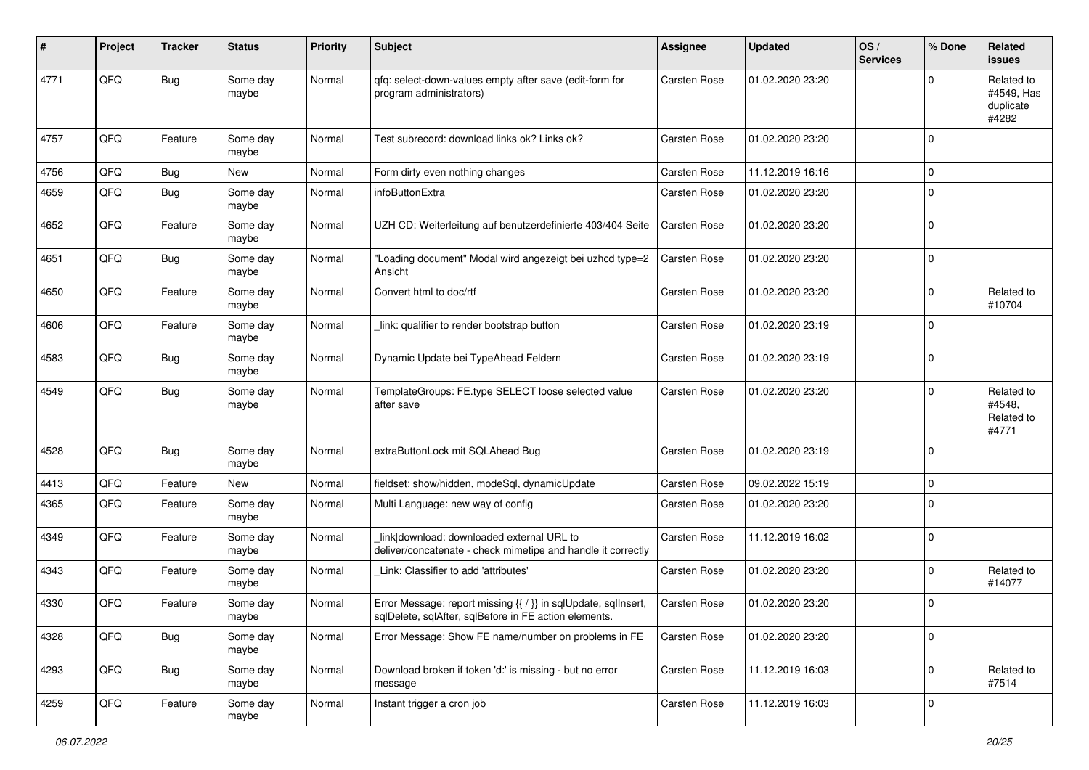| #    | Project | <b>Tracker</b> | <b>Status</b>     | <b>Priority</b> | <b>Subject</b>                                                                                                          | Assignee            | <b>Updated</b>   | OS/<br><b>Services</b> | % Done      | Related<br>issues                              |
|------|---------|----------------|-------------------|-----------------|-------------------------------------------------------------------------------------------------------------------------|---------------------|------------------|------------------------|-------------|------------------------------------------------|
| 4771 | QFQ     | Bug            | Some day<br>maybe | Normal          | qfq: select-down-values empty after save (edit-form for<br>program administrators)                                      | <b>Carsten Rose</b> | 01.02.2020 23:20 |                        | 0           | Related to<br>#4549, Has<br>duplicate<br>#4282 |
| 4757 | QFQ     | Feature        | Some day<br>maybe | Normal          | Test subrecord: download links ok? Links ok?                                                                            | <b>Carsten Rose</b> | 01.02.2020 23:20 |                        | $\Omega$    |                                                |
| 4756 | QFQ     | Bug            | <b>New</b>        | Normal          | Form dirty even nothing changes                                                                                         | Carsten Rose        | 11.12.2019 16:16 |                        | $\mathbf 0$ |                                                |
| 4659 | QFQ     | Bug            | Some day<br>maybe | Normal          | infoButtonExtra                                                                                                         | <b>Carsten Rose</b> | 01.02.2020 23:20 |                        | 0           |                                                |
| 4652 | QFQ     | Feature        | Some day<br>maybe | Normal          | UZH CD: Weiterleitung auf benutzerdefinierte 403/404 Seite                                                              | <b>Carsten Rose</b> | 01.02.2020 23:20 |                        | $\mathbf 0$ |                                                |
| 4651 | QFQ     | Bug            | Some day<br>maybe | Normal          | 'Loading document" Modal wird angezeigt bei uzhcd type=2<br>Ansicht                                                     | <b>Carsten Rose</b> | 01.02.2020 23:20 |                        | $\Omega$    |                                                |
| 4650 | QFQ     | Feature        | Some day<br>maybe | Normal          | Convert html to doc/rtf                                                                                                 | <b>Carsten Rose</b> | 01.02.2020 23:20 |                        | $\Omega$    | Related to<br>#10704                           |
| 4606 | QFQ     | Feature        | Some day<br>maybe | Normal          | link: qualifier to render bootstrap button                                                                              | <b>Carsten Rose</b> | 01.02.2020 23:19 |                        | $\Omega$    |                                                |
| 4583 | QFQ     | Bug            | Some day<br>maybe | Normal          | Dynamic Update bei TypeAhead Feldern                                                                                    | <b>Carsten Rose</b> | 01.02.2020 23:19 |                        | $\Omega$    |                                                |
| 4549 | QFQ     | Bug            | Some day<br>maybe | Normal          | TemplateGroups: FE.type SELECT loose selected value<br>after save                                                       | <b>Carsten Rose</b> | 01.02.2020 23:20 |                        | $\Omega$    | Related to<br>#4548,<br>Related to<br>#4771    |
| 4528 | QFQ     | Bug            | Some day<br>maybe | Normal          | extraButtonLock mit SQLAhead Bug                                                                                        | <b>Carsten Rose</b> | 01.02.2020 23:19 |                        | $\Omega$    |                                                |
| 4413 | QFQ     | Feature        | <b>New</b>        | Normal          | fieldset: show/hidden, modeSql, dynamicUpdate                                                                           | <b>Carsten Rose</b> | 09.02.2022 15:19 |                        | $\Omega$    |                                                |
| 4365 | QFQ     | Feature        | Some day<br>maybe | Normal          | Multi Language: new way of config                                                                                       | <b>Carsten Rose</b> | 01.02.2020 23:20 |                        | $\Omega$    |                                                |
| 4349 | QFQ     | Feature        | Some day<br>maybe | Normal          | link download: downloaded external URL to<br>deliver/concatenate - check mimetipe and handle it correctly               | <b>Carsten Rose</b> | 11.12.2019 16:02 |                        | $\Omega$    |                                                |
| 4343 | QFQ     | Feature        | Some day<br>maybe | Normal          | Link: Classifier to add 'attributes'                                                                                    | Carsten Rose        | 01.02.2020 23:20 |                        | $\Omega$    | Related to<br>#14077                           |
| 4330 | QFQ     | Feature        | Some day<br>maybe | Normal          | Error Message: report missing {{ / }} in sqlUpdate, sqlInsert,<br>sqlDelete, sqlAfter, sqlBefore in FE action elements. | <b>Carsten Rose</b> | 01.02.2020 23:20 |                        | 0           |                                                |
| 4328 | QFQ     | Bug            | Some day<br>maybe | Normal          | Error Message: Show FE name/number on problems in FE                                                                    | Carsten Rose        | 01.02.2020 23:20 |                        | $\mathbf 0$ |                                                |
| 4293 | QFQ     | Bug            | Some day<br>maybe | Normal          | Download broken if token 'd:' is missing - but no error<br>message                                                      | Carsten Rose        | 11.12.2019 16:03 |                        | $\mathbf 0$ | Related to<br>#7514                            |
| 4259 | QFQ     | Feature        | Some day<br>maybe | Normal          | Instant trigger a cron job                                                                                              | Carsten Rose        | 11.12.2019 16:03 |                        | $\mathbf 0$ |                                                |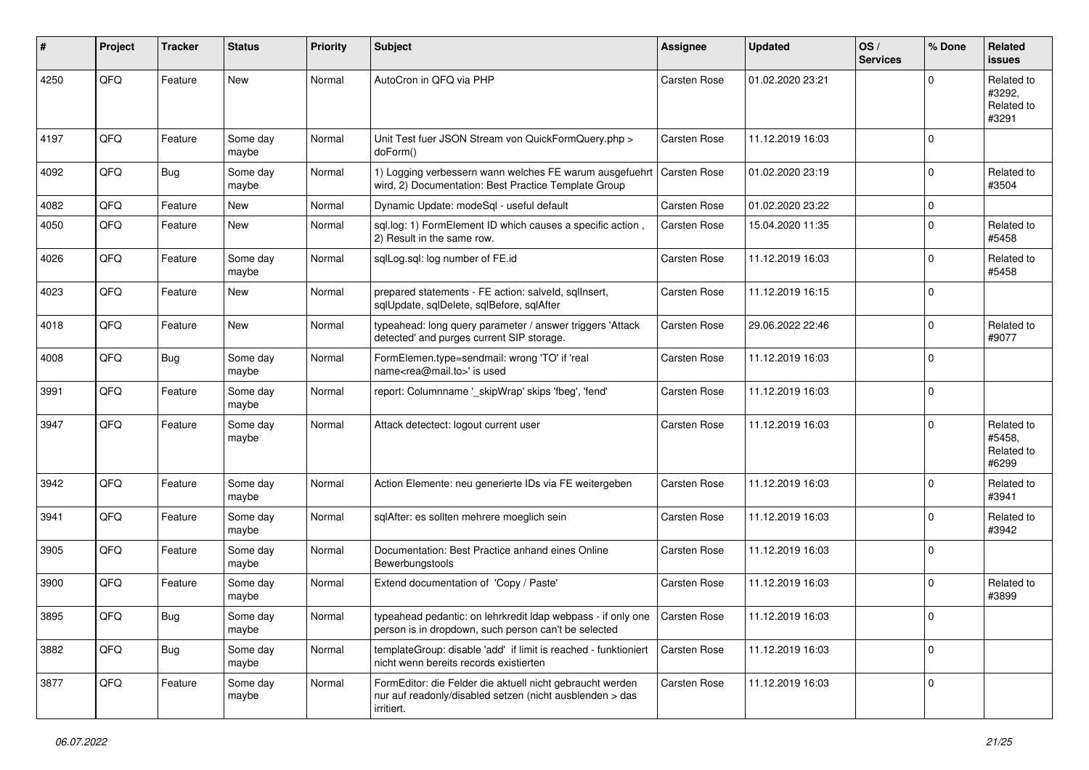| #    | Project | <b>Tracker</b> | <b>Status</b>     | <b>Priority</b> | <b>Subject</b>                                                                                                                      | Assignee            | <b>Updated</b>   | OS/<br><b>Services</b> | % Done      | Related<br><b>issues</b>                    |
|------|---------|----------------|-------------------|-----------------|-------------------------------------------------------------------------------------------------------------------------------------|---------------------|------------------|------------------------|-------------|---------------------------------------------|
| 4250 | QFQ     | Feature        | <b>New</b>        | Normal          | AutoCron in QFQ via PHP                                                                                                             | Carsten Rose        | 01.02.2020 23:21 |                        | $\Omega$    | Related to<br>#3292.<br>Related to<br>#3291 |
| 4197 | QFQ     | Feature        | Some day<br>maybe | Normal          | Unit Test fuer JSON Stream von QuickFormQuery.php ><br>doForm()                                                                     | Carsten Rose        | 11.12.2019 16:03 |                        | $\mathbf 0$ |                                             |
| 4092 | QFQ     | Bug            | Some day<br>maybe | Normal          | 1) Logging verbessern wann welches FE warum ausgefuehrt<br>wird, 2) Documentation: Best Practice Template Group                     | Carsten Rose        | 01.02.2020 23:19 |                        | $\mathbf 0$ | Related to<br>#3504                         |
| 4082 | QFQ     | Feature        | <b>New</b>        | Normal          | Dynamic Update: modeSql - useful default                                                                                            | Carsten Rose        | 01.02.2020 23:22 |                        | $\mathbf 0$ |                                             |
| 4050 | QFQ     | Feature        | New               | Normal          | sql.log: 1) FormElement ID which causes a specific action,<br>2) Result in the same row.                                            | Carsten Rose        | 15.04.2020 11:35 |                        | $\mathbf 0$ | Related to<br>#5458                         |
| 4026 | QFQ     | Feature        | Some day<br>maybe | Normal          | sqlLog.sql: log number of FE.id                                                                                                     | <b>Carsten Rose</b> | 11.12.2019 16:03 |                        | $\mathbf 0$ | Related to<br>#5458                         |
| 4023 | QFQ     | Feature        | New               | Normal          | prepared statements - FE action: salveld, sqlInsert,<br>sqlUpdate, sqlDelete, sqlBefore, sqlAfter                                   | Carsten Rose        | 11.12.2019 16:15 |                        | $\mathbf 0$ |                                             |
| 4018 | QFQ     | Feature        | New               | Normal          | typeahead: long query parameter / answer triggers 'Attack<br>detected' and purges current SIP storage.                              | Carsten Rose        | 29.06.2022 22:46 |                        | $\mathbf 0$ | Related to<br>#9077                         |
| 4008 | QFQ     | <b>Bug</b>     | Some day<br>maybe | Normal          | FormElemen.type=sendmail: wrong 'TO' if 'real<br>name <rea@mail.to>' is used</rea@mail.to>                                          | Carsten Rose        | 11.12.2019 16:03 |                        | $\mathbf 0$ |                                             |
| 3991 | QFQ     | Feature        | Some day<br>maybe | Normal          | report: Columnname '_skipWrap' skips 'fbeg', 'fend'                                                                                 | <b>Carsten Rose</b> | 11.12.2019 16:03 |                        | $\mathbf 0$ |                                             |
| 3947 | QFQ     | Feature        | Some day<br>maybe | Normal          | Attack detectect: logout current user                                                                                               | Carsten Rose        | 11.12.2019 16:03 |                        | $\Omega$    | Related to<br>#5458.<br>Related to<br>#6299 |
| 3942 | QFQ     | Feature        | Some day<br>maybe | Normal          | Action Elemente: neu generierte IDs via FE weitergeben                                                                              | <b>Carsten Rose</b> | 11.12.2019 16:03 |                        | $\mathbf 0$ | Related to<br>#3941                         |
| 3941 | QFQ     | Feature        | Some day<br>maybe | Normal          | sqlAfter: es sollten mehrere moeglich sein                                                                                          | Carsten Rose        | 11.12.2019 16:03 |                        | $\mathbf 0$ | Related to<br>#3942                         |
| 3905 | QFQ     | Feature        | Some day<br>maybe | Normal          | Documentation: Best Practice anhand eines Online<br>Bewerbungstools                                                                 | <b>Carsten Rose</b> | 11.12.2019 16:03 |                        | $\mathbf 0$ |                                             |
| 3900 | QFQ     | Feature        | Some day<br>maybe | Normal          | Extend documentation of 'Copy / Paste'                                                                                              | Carsten Rose        | 11.12.2019 16:03 |                        | $\mathbf 0$ | Related to<br>#3899                         |
| 3895 | QFQ     | Bug            | Some day<br>maybe | Normal          | typeahead pedantic: on lehrkredit Idap webpass - if only one   Carsten Rose<br>person is in dropdown, such person can't be selected |                     | 11.12.2019 16:03 |                        |             |                                             |
| 3882 | QFQ     | Bug            | Some day<br>maybe | Normal          | templateGroup: disable 'add' if limit is reached - funktioniert<br>nicht wenn bereits records existierten                           | Carsten Rose        | 11.12.2019 16:03 |                        | $\mathsf 0$ |                                             |
| 3877 | QFQ     | Feature        | Some day<br>maybe | Normal          | FormEditor: die Felder die aktuell nicht gebraucht werden<br>nur auf readonly/disabled setzen (nicht ausblenden > das<br>irritiert. | Carsten Rose        | 11.12.2019 16:03 |                        | $\mathbf 0$ |                                             |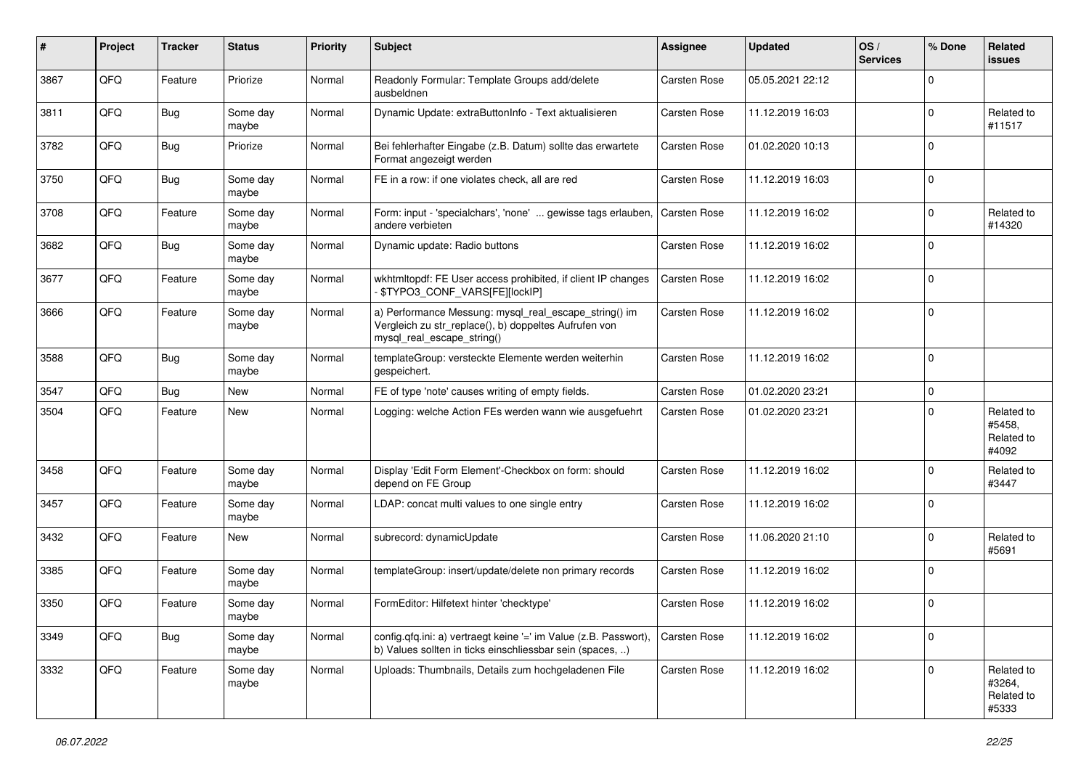| ∦    | Project | <b>Tracker</b> | <b>Status</b>     | <b>Priority</b> | <b>Subject</b>                                                                                                                               | <b>Assignee</b>     | <b>Updated</b>   | OS/<br><b>Services</b> | % Done      | Related<br>issues                           |
|------|---------|----------------|-------------------|-----------------|----------------------------------------------------------------------------------------------------------------------------------------------|---------------------|------------------|------------------------|-------------|---------------------------------------------|
| 3867 | QFQ     | Feature        | Priorize          | Normal          | Readonly Formular: Template Groups add/delete<br>ausbeldnen                                                                                  | <b>Carsten Rose</b> | 05.05.2021 22:12 |                        | $\Omega$    |                                             |
| 3811 | QFQ     | Bug            | Some day<br>maybe | Normal          | Dynamic Update: extraButtonInfo - Text aktualisieren                                                                                         | <b>Carsten Rose</b> | 11.12.2019 16:03 |                        | $\Omega$    | Related to<br>#11517                        |
| 3782 | QFQ     | Bug            | Priorize          | Normal          | Bei fehlerhafter Eingabe (z.B. Datum) sollte das erwartete<br>Format angezeigt werden                                                        | <b>Carsten Rose</b> | 01.02.2020 10:13 |                        | $\Omega$    |                                             |
| 3750 | QFQ     | <b>Bug</b>     | Some day<br>maybe | Normal          | FE in a row: if one violates check, all are red                                                                                              | <b>Carsten Rose</b> | 11.12.2019 16:03 |                        | $\mathbf 0$ |                                             |
| 3708 | QFQ     | Feature        | Some day<br>maybe | Normal          | Form: input - 'specialchars', 'none'  gewisse tags erlauben,<br>andere verbieten                                                             | <b>Carsten Rose</b> | 11.12.2019 16:02 |                        | $\mathbf 0$ | Related to<br>#14320                        |
| 3682 | QFQ     | Bug            | Some day<br>maybe | Normal          | Dynamic update: Radio buttons                                                                                                                | <b>Carsten Rose</b> | 11.12.2019 16:02 |                        | $\Omega$    |                                             |
| 3677 | QFQ     | Feature        | Some day<br>maybe | Normal          | wkhtmltopdf: FE User access prohibited, if client IP changes<br>- \$TYPO3_CONF_VARS[FE][lockIP]                                              | <b>Carsten Rose</b> | 11.12.2019 16:02 |                        | $\Omega$    |                                             |
| 3666 | QFQ     | Feature        | Some day<br>maybe | Normal          | a) Performance Messung: mysql_real_escape_string() im<br>Vergleich zu str_replace(), b) doppeltes Aufrufen von<br>mysql real escape string() | <b>Carsten Rose</b> | 11.12.2019 16:02 |                        | $\Omega$    |                                             |
| 3588 | QFQ     | Bug            | Some day<br>maybe | Normal          | templateGroup: versteckte Elemente werden weiterhin<br>gespeichert.                                                                          | Carsten Rose        | 11.12.2019 16:02 |                        | $\Omega$    |                                             |
| 3547 | QFQ     | Bug            | <b>New</b>        | Normal          | FE of type 'note' causes writing of empty fields.                                                                                            | <b>Carsten Rose</b> | 01.02.2020 23:21 |                        | $\mathbf 0$ |                                             |
| 3504 | QFQ     | Feature        | New               | Normal          | Logging: welche Action FEs werden wann wie ausgefuehrt                                                                                       | <b>Carsten Rose</b> | 01.02.2020 23:21 |                        | $\Omega$    | Related to<br>#5458,<br>Related to<br>#4092 |
| 3458 | QFQ     | Feature        | Some day<br>maybe | Normal          | Display 'Edit Form Element'-Checkbox on form: should<br>depend on FE Group                                                                   | <b>Carsten Rose</b> | 11.12.2019 16:02 |                        | $\Omega$    | Related to<br>#3447                         |
| 3457 | QFQ     | Feature        | Some day<br>maybe | Normal          | LDAP: concat multi values to one single entry                                                                                                | <b>Carsten Rose</b> | 11.12.2019 16:02 |                        | $\Omega$    |                                             |
| 3432 | QFQ     | Feature        | <b>New</b>        | Normal          | subrecord: dynamicUpdate                                                                                                                     | Carsten Rose        | 11.06.2020 21:10 |                        | $\Omega$    | Related to<br>#5691                         |
| 3385 | QFQ     | Feature        | Some day<br>maybe | Normal          | templateGroup: insert/update/delete non primary records                                                                                      | Carsten Rose        | 11.12.2019 16:02 |                        | $\Omega$    |                                             |
| 3350 | QFQ     | Feature        | Some day<br>maybe | Normal          | FormEditor: Hilfetext hinter 'checktype'                                                                                                     | Carsten Rose        | 11.12.2019 16:02 |                        | $\Omega$    |                                             |
| 3349 | QFQ     | Bug            | Some day<br>maybe | Normal          | config.qfq.ini: a) vertraegt keine '=' im Value (z.B. Passwort),<br>b) Values sollten in ticks einschliessbar sein (spaces, )                | <b>Carsten Rose</b> | 11.12.2019 16:02 |                        | $\mathbf 0$ |                                             |
| 3332 | QFQ     | Feature        | Some day<br>maybe | Normal          | Uploads: Thumbnails, Details zum hochgeladenen File                                                                                          | Carsten Rose        | 11.12.2019 16:02 |                        | $\mathbf 0$ | Related to<br>#3264,<br>Related to<br>#5333 |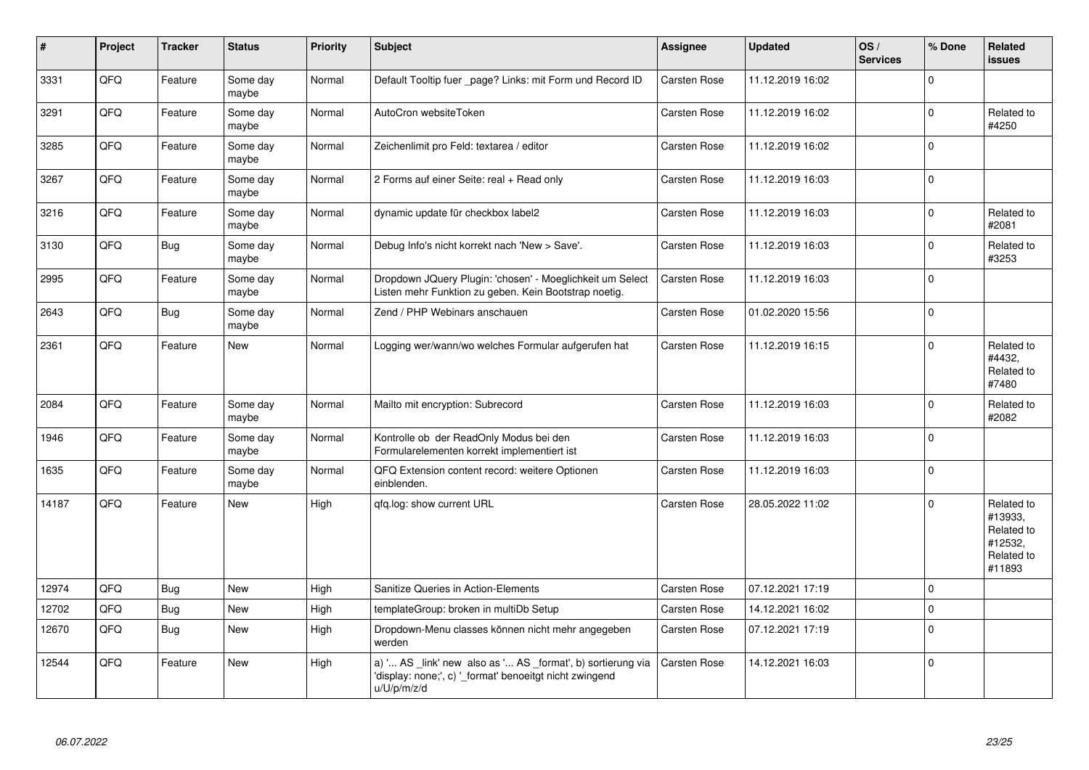| $\vert$ # | Project | <b>Tracker</b> | <b>Status</b>     | <b>Priority</b> | <b>Subject</b>                                                                                                                        | <b>Assignee</b>     | <b>Updated</b>   | OS/<br><b>Services</b> | % Done   | <b>Related</b><br><b>issues</b>                                        |
|-----------|---------|----------------|-------------------|-----------------|---------------------------------------------------------------------------------------------------------------------------------------|---------------------|------------------|------------------------|----------|------------------------------------------------------------------------|
| 3331      | QFQ     | Feature        | Some day<br>maybe | Normal          | Default Tooltip fuer _page? Links: mit Form und Record ID                                                                             | <b>Carsten Rose</b> | 11.12.2019 16:02 |                        | $\Omega$ |                                                                        |
| 3291      | QFQ     | Feature        | Some day<br>maybe | Normal          | AutoCron websiteToken                                                                                                                 | Carsten Rose        | 11.12.2019 16:02 |                        | $\Omega$ | Related to<br>#4250                                                    |
| 3285      | QFQ     | Feature        | Some day<br>maybe | Normal          | Zeichenlimit pro Feld: textarea / editor                                                                                              | Carsten Rose        | 11.12.2019 16:02 |                        | $\Omega$ |                                                                        |
| 3267      | QFQ     | Feature        | Some day<br>maybe | Normal          | 2 Forms auf einer Seite: real + Read only                                                                                             | Carsten Rose        | 11.12.2019 16:03 |                        | $\Omega$ |                                                                        |
| 3216      | QFQ     | Feature        | Some day<br>maybe | Normal          | dynamic update für checkbox label2                                                                                                    | Carsten Rose        | 11.12.2019 16:03 |                        | $\Omega$ | Related to<br>#2081                                                    |
| 3130      | QFQ     | Bug            | Some day<br>maybe | Normal          | Debug Info's nicht korrekt nach 'New > Save'.                                                                                         | <b>Carsten Rose</b> | 11.12.2019 16:03 |                        | $\Omega$ | Related to<br>#3253                                                    |
| 2995      | QFQ     | Feature        | Some day<br>maybe | Normal          | Dropdown JQuery Plugin: 'chosen' - Moeglichkeit um Select<br>Listen mehr Funktion zu geben. Kein Bootstrap noetig.                    | <b>Carsten Rose</b> | 11.12.2019 16:03 |                        | $\Omega$ |                                                                        |
| 2643      | QFQ     | Bug            | Some day<br>maybe | Normal          | Zend / PHP Webinars anschauen                                                                                                         | Carsten Rose        | 01.02.2020 15:56 |                        | $\Omega$ |                                                                        |
| 2361      | QFQ     | Feature        | <b>New</b>        | Normal          | Logging wer/wann/wo welches Formular aufgerufen hat                                                                                   | <b>Carsten Rose</b> | 11.12.2019 16:15 |                        | $\Omega$ | Related to<br>#4432,<br>Related to<br>#7480                            |
| 2084      | QFQ     | Feature        | Some day<br>maybe | Normal          | Mailto mit encryption: Subrecord                                                                                                      | Carsten Rose        | 11.12.2019 16:03 |                        | $\Omega$ | Related to<br>#2082                                                    |
| 1946      | QFQ     | Feature        | Some day<br>maybe | Normal          | Kontrolle ob der ReadOnly Modus bei den<br>Formularelementen korrekt implementiert ist                                                | Carsten Rose        | 11.12.2019 16:03 |                        | $\Omega$ |                                                                        |
| 1635      | QFQ     | Feature        | Some day<br>maybe | Normal          | QFQ Extension content record: weitere Optionen<br>einblenden.                                                                         | Carsten Rose        | 11.12.2019 16:03 |                        | $\Omega$ |                                                                        |
| 14187     | QFQ     | Feature        | New               | High            | qfq.log: show current URL                                                                                                             | Carsten Rose        | 28.05.2022 11:02 |                        | $\Omega$ | Related to<br>#13933,<br>Related to<br>#12532,<br>Related to<br>#11893 |
| 12974     | QFQ     | <b>Bug</b>     | <b>New</b>        | High            | Sanitize Queries in Action-Elements                                                                                                   | Carsten Rose        | 07.12.2021 17:19 |                        | $\Omega$ |                                                                        |
| 12702     | QFQ     | <b>Bug</b>     | <b>New</b>        | High            | templateGroup: broken in multiDb Setup                                                                                                | Carsten Rose        | 14.12.2021 16:02 |                        | $\Omega$ |                                                                        |
| 12670     | QFQ     | Bug            | <b>New</b>        | High            | Dropdown-Menu classes können nicht mehr angegeben<br>werden                                                                           | Carsten Rose        | 07.12.2021 17:19 |                        | $\Omega$ |                                                                        |
| 12544     | QFQ     | Feature        | <b>New</b>        | High            | a) ' AS _link' new also as ' AS _format', b) sortierung via<br>'display: none;', c) '_format' benoeitgt nicht zwingend<br>u/U/p/m/z/d | Carsten Rose        | 14.12.2021 16:03 |                        | $\Omega$ |                                                                        |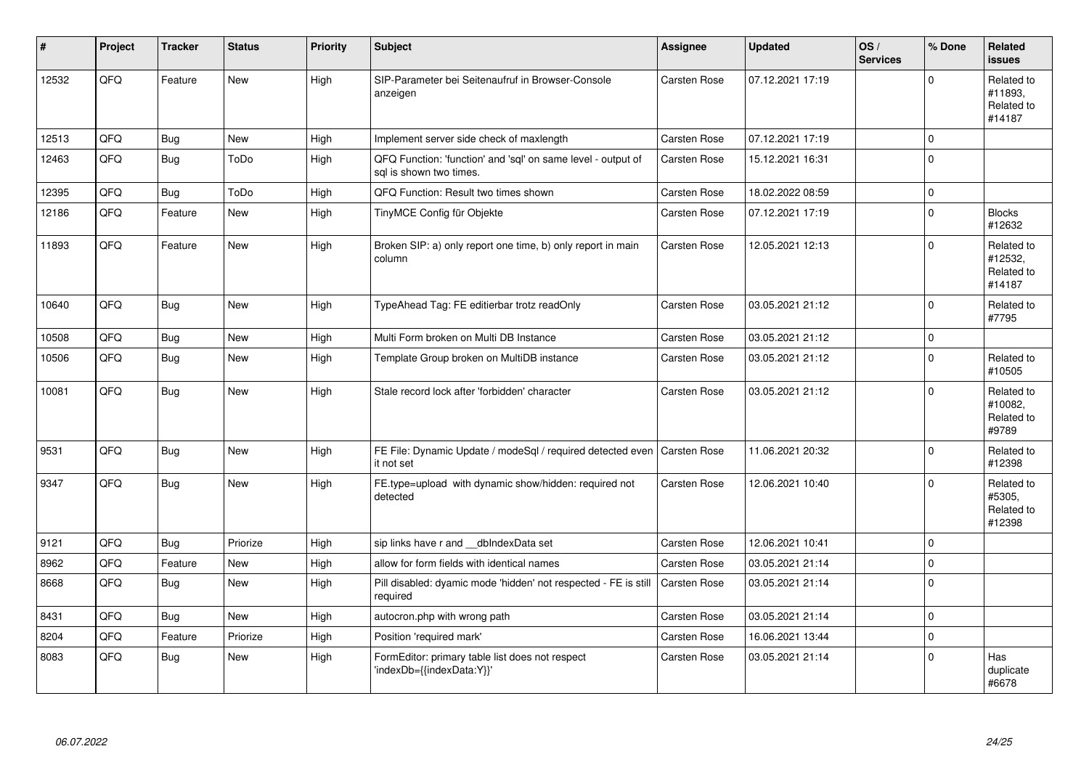| #     | Project | <b>Tracker</b> | <b>Status</b> | <b>Priority</b> | <b>Subject</b>                                                                          | <b>Assignee</b>     | <b>Updated</b>   | OS/<br><b>Services</b> | % Done      | Related<br><b>issues</b>                      |
|-------|---------|----------------|---------------|-----------------|-----------------------------------------------------------------------------------------|---------------------|------------------|------------------------|-------------|-----------------------------------------------|
| 12532 | QFQ     | Feature        | <b>New</b>    | High            | SIP-Parameter bei Seitenaufruf in Browser-Console<br>anzeigen                           | Carsten Rose        | 07.12.2021 17:19 |                        | $\Omega$    | Related to<br>#11893,<br>Related to<br>#14187 |
| 12513 | QFQ     | Bug            | <b>New</b>    | High            | Implement server side check of maxlength                                                | <b>Carsten Rose</b> | 07.12.2021 17:19 |                        | $\Omega$    |                                               |
| 12463 | QFQ     | Bug            | ToDo          | High            | QFQ Function: 'function' and 'sql' on same level - output of<br>sal is shown two times. | <b>Carsten Rose</b> | 15.12.2021 16:31 |                        | $\Omega$    |                                               |
| 12395 | QFQ     | <b>Bug</b>     | ToDo          | High            | QFQ Function: Result two times shown                                                    | <b>Carsten Rose</b> | 18.02.2022 08:59 |                        | $\Omega$    |                                               |
| 12186 | QFQ     | Feature        | <b>New</b>    | High            | TinyMCE Config für Objekte                                                              | <b>Carsten Rose</b> | 07.12.2021 17:19 |                        | $\Omega$    | <b>Blocks</b><br>#12632                       |
| 11893 | QFQ     | Feature        | <b>New</b>    | High            | Broken SIP: a) only report one time, b) only report in main<br>column                   | <b>Carsten Rose</b> | 12.05.2021 12:13 |                        | $\Omega$    | Related to<br>#12532,<br>Related to<br>#14187 |
| 10640 | QFQ     | Bug            | <b>New</b>    | High            | TypeAhead Tag: FE editierbar trotz readOnly                                             | <b>Carsten Rose</b> | 03.05.2021 21:12 |                        | $\Omega$    | Related to<br>#7795                           |
| 10508 | QFQ     | Bug            | <b>New</b>    | High            | Multi Form broken on Multi DB Instance                                                  | <b>Carsten Rose</b> | 03.05.2021 21:12 |                        | $\mathbf 0$ |                                               |
| 10506 | QFQ     | Bug            | <b>New</b>    | High            | Template Group broken on MultiDB instance                                               | <b>Carsten Rose</b> | 03.05.2021 21:12 |                        | $\Omega$    | Related to<br>#10505                          |
| 10081 | QFQ     | <b>Bug</b>     | <b>New</b>    | High            | Stale record lock after 'forbidden' character                                           | <b>Carsten Rose</b> | 03.05.2021 21:12 |                        | $\Omega$    | Related to<br>#10082.<br>Related to<br>#9789  |
| 9531  | QFQ     | <b>Bug</b>     | <b>New</b>    | High            | FE File: Dynamic Update / modeSql / required detected even<br>it not set                | <b>Carsten Rose</b> | 11.06.2021 20:32 |                        | $\Omega$    | Related to<br>#12398                          |
| 9347  | QFQ     | <b>Bug</b>     | New           | High            | FE.type=upload with dynamic show/hidden: required not<br>detected                       | <b>Carsten Rose</b> | 12.06.2021 10:40 |                        | $\Omega$    | Related to<br>#5305,<br>Related to<br>#12398  |
| 9121  | QFQ     | Bug            | Priorize      | High            | sip links have r and __dbIndexData set                                                  | <b>Carsten Rose</b> | 12.06.2021 10:41 |                        | $\Omega$    |                                               |
| 8962  | QFQ     | Feature        | <b>New</b>    | High            | allow for form fields with identical names                                              | <b>Carsten Rose</b> | 03.05.2021 21:14 |                        | $\Omega$    |                                               |
| 8668  | QFQ     | Bug            | <b>New</b>    | High            | Pill disabled: dyamic mode 'hidden' not respected - FE is still<br>required             | <b>Carsten Rose</b> | 03.05.2021 21:14 |                        | $\Omega$    |                                               |
| 8431  | QFQ     | <b>Bug</b>     | <b>New</b>    | High            | autocron.php with wrong path                                                            | <b>Carsten Rose</b> | 03.05.2021 21:14 |                        | $\Omega$    |                                               |
| 8204  | QFQ     | Feature        | Priorize      | High            | Position 'required mark'                                                                | <b>Carsten Rose</b> | 16.06.2021 13:44 |                        | $\Omega$    |                                               |
| 8083  | QFQ     | Bug            | <b>New</b>    | High            | FormEditor: primary table list does not respect<br>'indexDb={{indexData:Y}}'            | <b>Carsten Rose</b> | 03.05.2021 21:14 |                        | $\Omega$    | Has<br>duplicate<br>#6678                     |